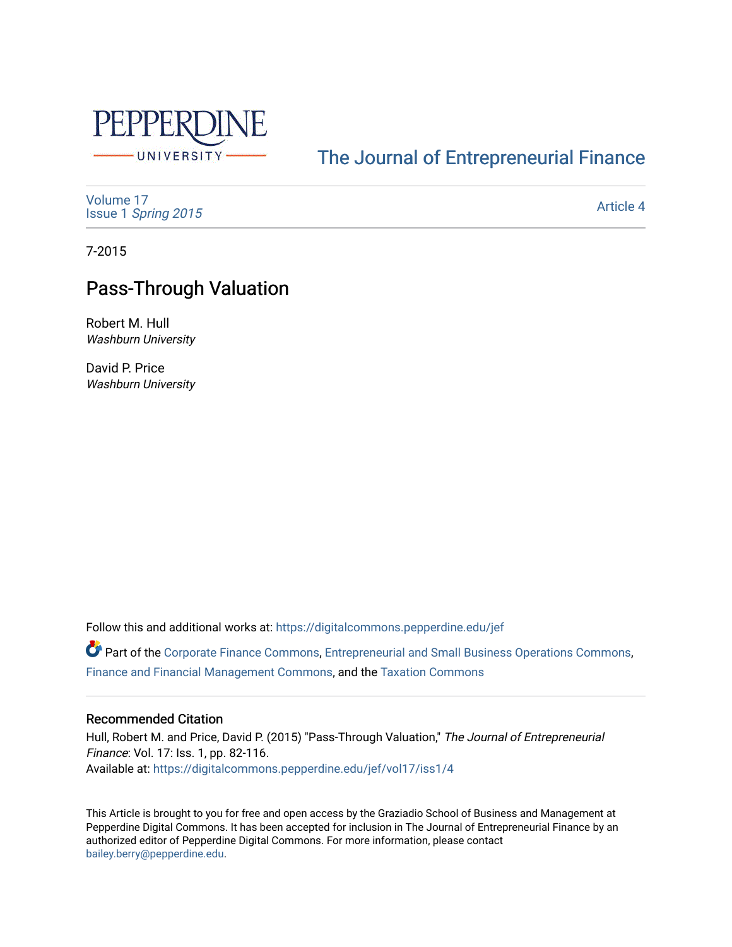

# [The Journal of Entrepreneurial Finance](https://digitalcommons.pepperdine.edu/jef)

[Volume 17](https://digitalcommons.pepperdine.edu/jef/vol17) Issue 1 [Spring 2015](https://digitalcommons.pepperdine.edu/jef/vol17/iss1) 

[Article 4](https://digitalcommons.pepperdine.edu/jef/vol17/iss1/4) 

7-2015

# Pass-Through Valuation

Robert M. Hull Washburn University

David P. Price Washburn University

Follow this and additional works at: [https://digitalcommons.pepperdine.edu/jef](https://digitalcommons.pepperdine.edu/jef?utm_source=digitalcommons.pepperdine.edu%2Fjef%2Fvol17%2Fiss1%2F4&utm_medium=PDF&utm_campaign=PDFCoverPages) 

**P** Part of the [Corporate Finance Commons](http://network.bepress.com/hgg/discipline/629?utm_source=digitalcommons.pepperdine.edu%2Fjef%2Fvol17%2Fiss1%2F4&utm_medium=PDF&utm_campaign=PDFCoverPages), [Entrepreneurial and Small Business Operations Commons](http://network.bepress.com/hgg/discipline/630?utm_source=digitalcommons.pepperdine.edu%2Fjef%2Fvol17%2Fiss1%2F4&utm_medium=PDF&utm_campaign=PDFCoverPages), [Finance and Financial Management Commons](http://network.bepress.com/hgg/discipline/631?utm_source=digitalcommons.pepperdine.edu%2Fjef%2Fvol17%2Fiss1%2F4&utm_medium=PDF&utm_campaign=PDFCoverPages), and the [Taxation Commons](http://network.bepress.com/hgg/discipline/643?utm_source=digitalcommons.pepperdine.edu%2Fjef%2Fvol17%2Fiss1%2F4&utm_medium=PDF&utm_campaign=PDFCoverPages)

# Recommended Citation

Hull, Robert M. and Price, David P. (2015) "Pass-Through Valuation," The Journal of Entrepreneurial Finance: Vol. 17: Iss. 1, pp. 82-116. Available at: [https://digitalcommons.pepperdine.edu/jef/vol17/iss1/4](https://digitalcommons.pepperdine.edu/jef/vol17/iss1/4?utm_source=digitalcommons.pepperdine.edu%2Fjef%2Fvol17%2Fiss1%2F4&utm_medium=PDF&utm_campaign=PDFCoverPages) 

This Article is brought to you for free and open access by the Graziadio School of Business and Management at Pepperdine Digital Commons. It has been accepted for inclusion in The Journal of Entrepreneurial Finance by an authorized editor of Pepperdine Digital Commons. For more information, please contact [bailey.berry@pepperdine.edu](mailto:bailey.berry@pepperdine.edu).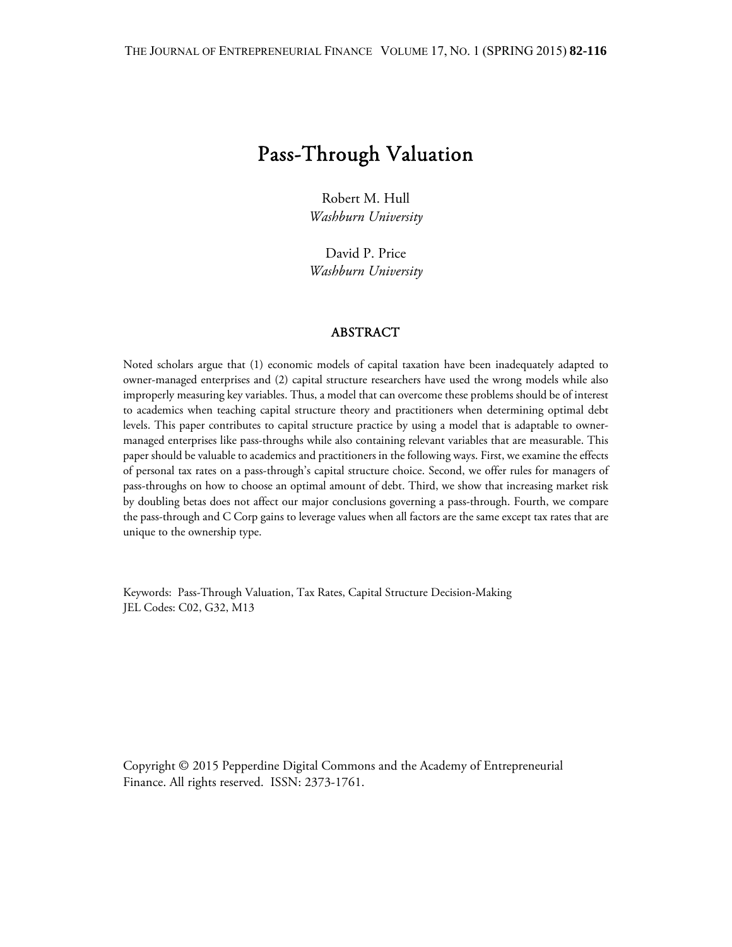# Pass-Through Valuation

Robert M. Hull *Washburn University* 

David P. Price *Washburn University* 

#### ABSTRACT

Noted scholars argue that (1) economic models of capital taxation have been inadequately adapted to owner-managed enterprises and (2) capital structure researchers have used the wrong models while also improperly measuring key variables. Thus, a model that can overcome these problems should be of interest to academics when teaching capital structure theory and practitioners when determining optimal debt levels. This paper contributes to capital structure practice by using a model that is adaptable to ownermanaged enterprises like pass-throughs while also containing relevant variables that are measurable. This paper should be valuable to academics and practitioners in the following ways. First, we examine the effects of personal tax rates on a pass-through's capital structure choice. Second, we offer rules for managers of pass-throughs on how to choose an optimal amount of debt. Third, we show that increasing market risk by doubling betas does not affect our major conclusions governing a pass-through. Fourth, we compare the pass-through and C Corp gains to leverage values when all factors are the same except tax rates that are unique to the ownership type.

Keywords: Pass-Through Valuation, Tax Rates, Capital Structure Decision-Making JEL Codes: C02, G32, M13

Copyright © 2015 Pepperdine Digital Commons and the Academy of Entrepreneurial Finance. All rights reserved. ISSN: 2373-1761.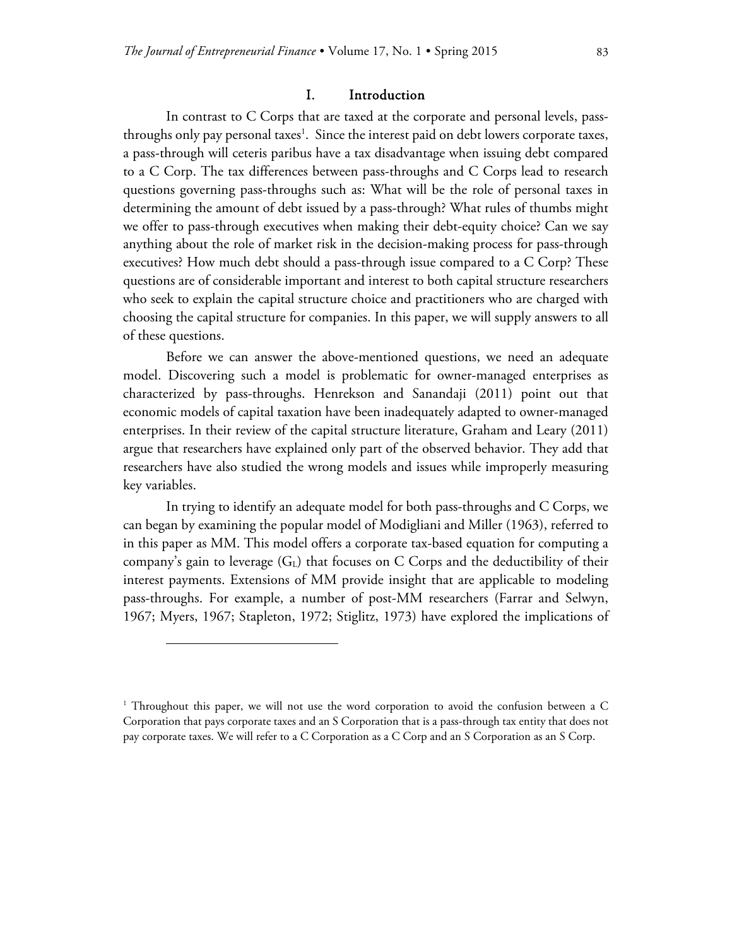### I. Introduction

In contrast to C Corps that are taxed at the corporate and personal levels, passthroughs only pay personal taxes<sup>1</sup>. Since the interest paid on debt lowers corporate taxes, a pass-through will ceteris paribus have a tax disadvantage when issuing debt compared to a C Corp. The tax differences between pass-throughs and C Corps lead to research questions governing pass-throughs such as: What will be the role of personal taxes in determining the amount of debt issued by a pass-through? What rules of thumbs might we offer to pass-through executives when making their debt-equity choice? Can we say anything about the role of market risk in the decision-making process for pass-through executives? How much debt should a pass-through issue compared to a C Corp? These questions are of considerable important and interest to both capital structure researchers who seek to explain the capital structure choice and practitioners who are charged with choosing the capital structure for companies. In this paper, we will supply answers to all of these questions.

Before we can answer the above-mentioned questions, we need an adequate model. Discovering such a model is problematic for owner-managed enterprises as characterized by pass-throughs. Henrekson and Sanandaji (2011) point out that economic models of capital taxation have been inadequately adapted to owner-managed enterprises. In their review of the capital structure literature, Graham and Leary (2011) argue that researchers have explained only part of the observed behavior. They add that researchers have also studied the wrong models and issues while improperly measuring key variables.

In trying to identify an adequate model for both pass-throughs and C Corps, we can began by examining the popular model of Modigliani and Miller (1963), referred to in this paper as MM. This model offers a corporate tax-based equation for computing a company's gain to leverage  $(G_L)$  that focuses on C Corps and the deductibility of their interest payments. Extensions of MM provide insight that are applicable to modeling pass-throughs. For example, a number of post-MM researchers (Farrar and Selwyn, 1967; Myers, 1967; Stapleton, 1972; Stiglitz, 1973) have explored the implications of

-

<sup>1</sup> Throughout this paper, we will not use the word corporation to avoid the confusion between a C Corporation that pays corporate taxes and an S Corporation that is a pass-through tax entity that does not pay corporate taxes. We will refer to a C Corporation as a C Corp and an S Corporation as an S Corp.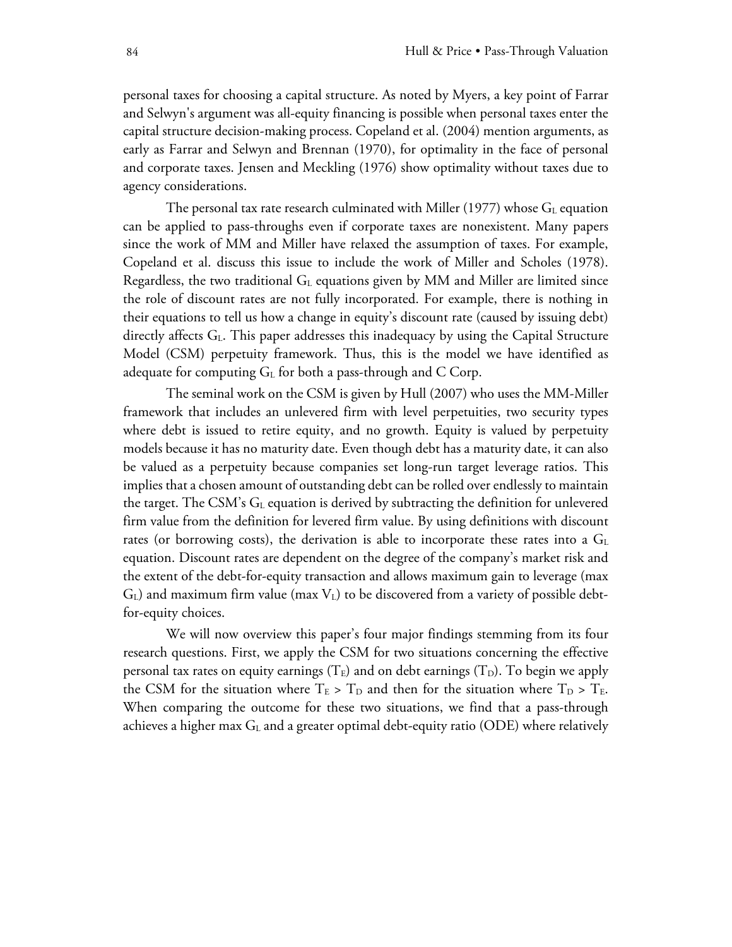personal taxes for choosing a capital structure. As noted by Myers, a key point of Farrar and Selwyn's argument was all-equity financing is possible when personal taxes enter the capital structure decision-making process. Copeland et al. (2004) mention arguments, as early as Farrar and Selwyn and Brennan (1970), for optimality in the face of personal and corporate taxes. Jensen and Meckling (1976) show optimality without taxes due to agency considerations.

The personal tax rate research culminated with Miller (1977) whose  $G<sub>L</sub>$  equation can be applied to pass-throughs even if corporate taxes are nonexistent. Many papers since the work of MM and Miller have relaxed the assumption of taxes. For example, Copeland et al. discuss this issue to include the work of Miller and Scholes (1978). Regardless, the two traditional  $G<sub>L</sub>$  equations given by MM and Miller are limited since the role of discount rates are not fully incorporated. For example, there is nothing in their equations to tell us how a change in equity's discount rate (caused by issuing debt) directly affects G<sub>L</sub>. This paper addresses this inadequacy by using the Capital Structure Model (CSM) perpetuity framework. Thus, this is the model we have identified as adequate for computing  $G<sub>L</sub>$  for both a pass-through and C Corp.

The seminal work on the CSM is given by Hull (2007) who uses the MM-Miller framework that includes an unlevered firm with level perpetuities, two security types where debt is issued to retire equity, and no growth. Equity is valued by perpetuity models because it has no maturity date. Even though debt has a maturity date, it can also be valued as a perpetuity because companies set long-run target leverage ratios. This implies that a chosen amount of outstanding debt can be rolled over endlessly to maintain the target. The CSM's  $G<sub>L</sub>$  equation is derived by subtracting the definition for unlevered firm value from the definition for levered firm value. By using definitions with discount rates (or borrowing costs), the derivation is able to incorporate these rates into a  $G<sub>L</sub>$ equation. Discount rates are dependent on the degree of the company's market risk and the extent of the debt-for-equity transaction and allows maximum gain to leverage (max  $G<sub>L</sub>$ ) and maximum firm value (max  $V<sub>L</sub>$ ) to be discovered from a variety of possible debtfor-equity choices.

We will now overview this paper's four major findings stemming from its four research questions. First, we apply the CSM for two situations concerning the effective personal tax rates on equity earnings ( $T_E$ ) and on debt earnings ( $T_D$ ). To begin we apply the CSM for the situation where  $T_E > T_D$  and then for the situation where  $T_D > T_E$ . When comparing the outcome for these two situations, we find that a pass-through achieves a higher max  $G<sub>L</sub>$  and a greater optimal debt-equity ratio (ODE) where relatively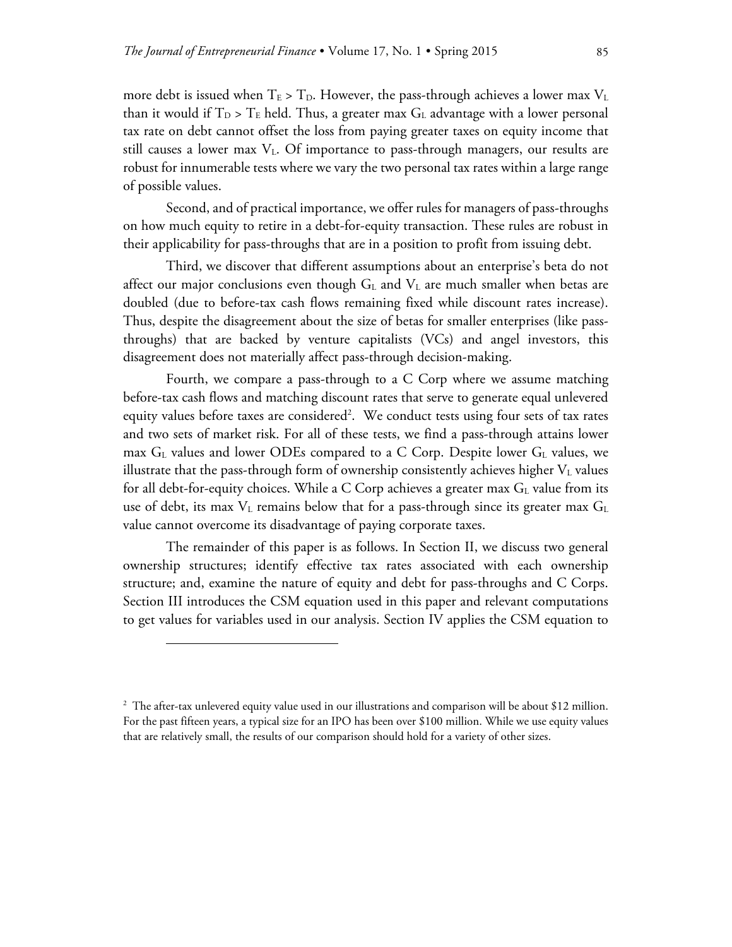more debt is issued when  $T_E > T_D$ . However, the pass-through achieves a lower max  $V_L$ than it would if  $T_D > T_E$  held. Thus, a greater max  $G_L$  advantage with a lower personal tax rate on debt cannot offset the loss from paying greater taxes on equity income that still causes a lower max  $V<sub>L</sub>$ . Of importance to pass-through managers, our results are robust for innumerable tests where we vary the two personal tax rates within a large range of possible values.

Second, and of practical importance, we offer rules for managers of pass-throughs on how much equity to retire in a debt-for-equity transaction. These rules are robust in their applicability for pass-throughs that are in a position to profit from issuing debt.

Third, we discover that different assumptions about an enterprise's beta do not affect our major conclusions even though  $G<sub>L</sub>$  and  $V<sub>L</sub>$  are much smaller when betas are doubled (due to before-tax cash flows remaining fixed while discount rates increase). Thus, despite the disagreement about the size of betas for smaller enterprises (like passthroughs) that are backed by venture capitalists (VCs) and angel investors, this disagreement does not materially affect pass-through decision-making.

Fourth, we compare a pass-through to a C Corp where we assume matching before-tax cash flows and matching discount rates that serve to generate equal unlevered equity values before taxes are considered<sup>2</sup>. We conduct tests using four sets of tax rates and two sets of market risk. For all of these tests, we find a pass-through attains lower max  $G_L$  values and lower ODEs compared to a C Corp. Despite lower  $G_L$  values, we illustrate that the pass-through form of ownership consistently achieves higher  $V<sub>L</sub>$  values for all debt-for-equity choices. While a C Corp achieves a greater max  $G<sub>L</sub>$  value from its use of debt, its max  $V_L$  remains below that for a pass-through since its greater max  $G_L$ value cannot overcome its disadvantage of paying corporate taxes.

The remainder of this paper is as follows. In Section II, we discuss two general ownership structures; identify effective tax rates associated with each ownership structure; and, examine the nature of equity and debt for pass-throughs and C Corps. Section III introduces the CSM equation used in this paper and relevant computations to get values for variables used in our analysis. Section IV applies the CSM equation to

-

<sup>2</sup> The after-tax unlevered equity value used in our illustrations and comparison will be about \$12 million. For the past fifteen years, a typical size for an IPO has been over \$100 million. While we use equity values that are relatively small, the results of our comparison should hold for a variety of other sizes.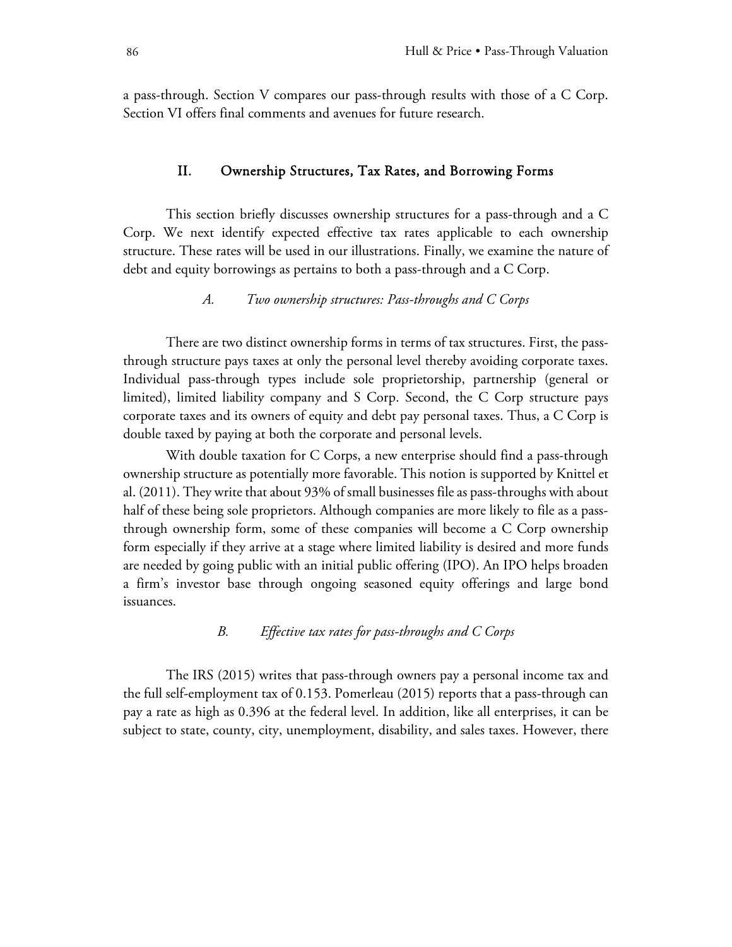a pass-through. Section V compares our pass-through results with those of a C Corp. Section VI offers final comments and avenues for future research.

# II. Ownership Structures, Tax Rates, and Borrowing Forms

This section briefly discusses ownership structures for a pass-through and a C Corp. We next identify expected effective tax rates applicable to each ownership structure. These rates will be used in our illustrations. Finally, we examine the nature of debt and equity borrowings as pertains to both a pass-through and a C Corp.

*A. Two ownership structures: Pass-throughs and C Corps* 

There are two distinct ownership forms in terms of tax structures. First, the passthrough structure pays taxes at only the personal level thereby avoiding corporate taxes. Individual pass-through types include sole proprietorship, partnership (general or limited), limited liability company and S Corp. Second, the C Corp structure pays corporate taxes and its owners of equity and debt pay personal taxes. Thus, a C Corp is double taxed by paying at both the corporate and personal levels.

With double taxation for C Corps, a new enterprise should find a pass-through ownership structure as potentially more favorable. This notion is supported by Knittel et al. (2011). They write that about 93% of small businesses file as pass-throughs with about half of these being sole proprietors. Although companies are more likely to file as a passthrough ownership form, some of these companies will become a C Corp ownership form especially if they arrive at a stage where limited liability is desired and more funds are needed by going public with an initial public offering (IPO). An IPO helps broaden a firm's investor base through ongoing seasoned equity offerings and large bond issuances.

# *B. Effective tax rates for pass-throughs and C Corps*

The IRS (2015) writes that pass-through owners pay a personal income tax and the full self-employment tax of 0.153. Pomerleau (2015) reports that a pass-through can pay a rate as high as 0.396 at the federal level. In addition, like all enterprises, it can be subject to state, county, city, unemployment, disability, and sales taxes. However, there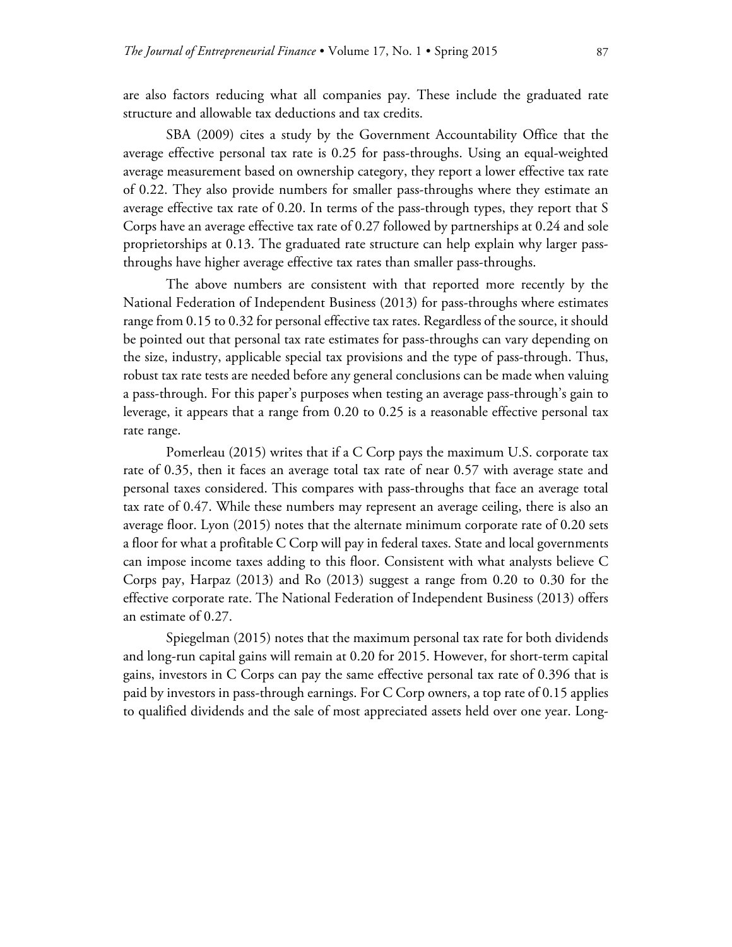are also factors reducing what all companies pay. These include the graduated rate structure and allowable tax deductions and tax credits.

SBA (2009) cites a study by the Government Accountability Office that the average effective personal tax rate is 0.25 for pass-throughs. Using an equal-weighted average measurement based on ownership category, they report a lower effective tax rate of 0.22. They also provide numbers for smaller pass-throughs where they estimate an average effective tax rate of 0.20. In terms of the pass-through types, they report that S Corps have an average effective tax rate of 0.27 followed by partnerships at 0.24 and sole proprietorships at 0.13. The graduated rate structure can help explain why larger passthroughs have higher average effective tax rates than smaller pass-throughs.

The above numbers are consistent with that reported more recently by the National Federation of Independent Business (2013) for pass-throughs where estimates range from 0.15 to 0.32 for personal effective tax rates. Regardless of the source, it should be pointed out that personal tax rate estimates for pass-throughs can vary depending on the size, industry, applicable special tax provisions and the type of pass-through. Thus, robust tax rate tests are needed before any general conclusions can be made when valuing a pass-through. For this paper's purposes when testing an average pass-through's gain to leverage, it appears that a range from 0.20 to 0.25 is a reasonable effective personal tax rate range.

Pomerleau (2015) writes that if a C Corp pays the maximum U.S. corporate tax rate of 0.35, then it faces an average total tax rate of near 0.57 with average state and personal taxes considered. This compares with pass-throughs that face an average total tax rate of 0.47. While these numbers may represent an average ceiling, there is also an average floor. Lyon (2015) notes that the alternate minimum corporate rate of 0.20 sets a floor for what a profitable C Corp will pay in federal taxes. State and local governments can impose income taxes adding to this floor. Consistent with what analysts believe C Corps pay, Harpaz (2013) and Ro (2013) suggest a range from 0.20 to 0.30 for the effective corporate rate. The National Federation of Independent Business (2013) offers an estimate of 0.27.

Spiegelman (2015) notes that the maximum personal tax rate for both dividends and long-run capital gains will remain at 0.20 for 2015. However, for short-term capital gains, investors in C Corps can pay the same effective personal tax rate of 0.396 that is paid by investors in pass-through earnings. For C Corp owners, a top rate of 0.15 applies to qualified dividends and the sale of most appreciated assets held over one year. Long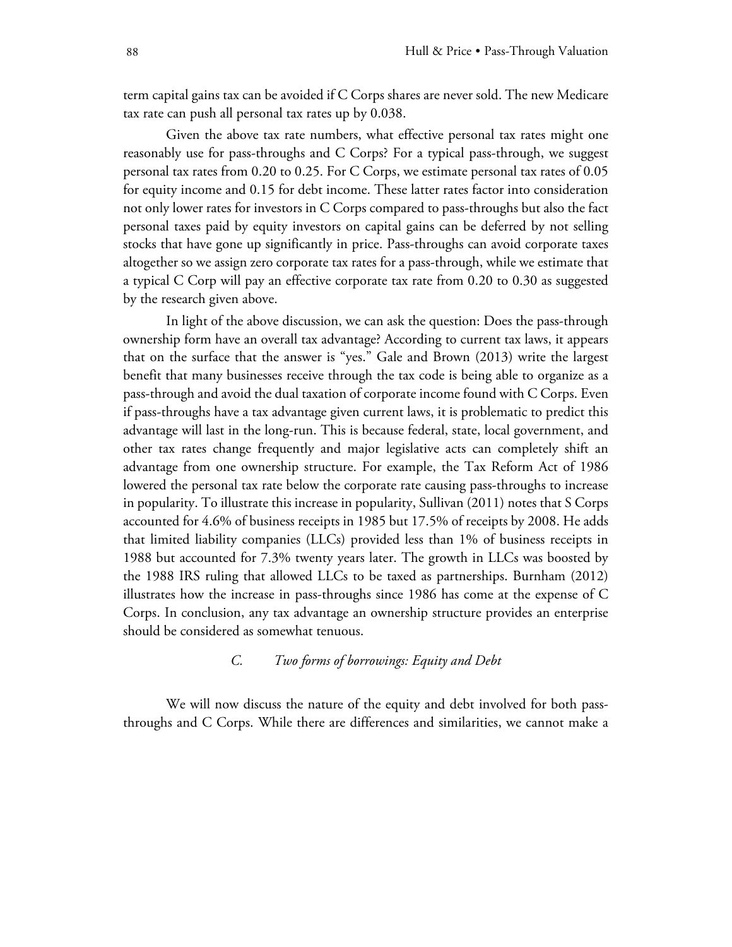term capital gains tax can be avoided if C Corps shares are never sold. The new Medicare tax rate can push all personal tax rates up by 0.038.

Given the above tax rate numbers, what effective personal tax rates might one reasonably use for pass-throughs and C Corps? For a typical pass-through, we suggest personal tax rates from 0.20 to 0.25. For C Corps, we estimate personal tax rates of 0.05 for equity income and 0.15 for debt income. These latter rates factor into consideration not only lower rates for investors in C Corps compared to pass-throughs but also the fact personal taxes paid by equity investors on capital gains can be deferred by not selling stocks that have gone up significantly in price. Pass-throughs can avoid corporate taxes altogether so we assign zero corporate tax rates for a pass-through, while we estimate that a typical C Corp will pay an effective corporate tax rate from 0.20 to 0.30 as suggested by the research given above.

In light of the above discussion, we can ask the question: Does the pass-through ownership form have an overall tax advantage? According to current tax laws, it appears that on the surface that the answer is "yes." Gale and Brown (2013) write the largest benefit that many businesses receive through the tax code is being able to organize as a pass-through and avoid the dual taxation of corporate income found with C Corps. Even if pass-throughs have a tax advantage given current laws, it is problematic to predict this advantage will last in the long-run. This is because federal, state, local government, and other tax rates change frequently and major legislative acts can completely shift an advantage from one ownership structure. For example, the Tax Reform Act of 1986 lowered the personal tax rate below the corporate rate causing pass-throughs to increase in popularity. To illustrate this increase in popularity, Sullivan (2011) notes that S Corps accounted for 4.6% of business receipts in 1985 but 17.5% of receipts by 2008. He adds that limited liability companies (LLCs) provided less than 1% of business receipts in 1988 but accounted for 7.3% twenty years later. The growth in LLCs was boosted by the 1988 IRS ruling that allowed LLCs to be taxed as partnerships. Burnham (2012) illustrates how the increase in pass-throughs since 1986 has come at the expense of C Corps. In conclusion, any tax advantage an ownership structure provides an enterprise should be considered as somewhat tenuous.

# *C. Two forms of borrowings: Equity and Debt*

We will now discuss the nature of the equity and debt involved for both passthroughs and C Corps. While there are differences and similarities, we cannot make a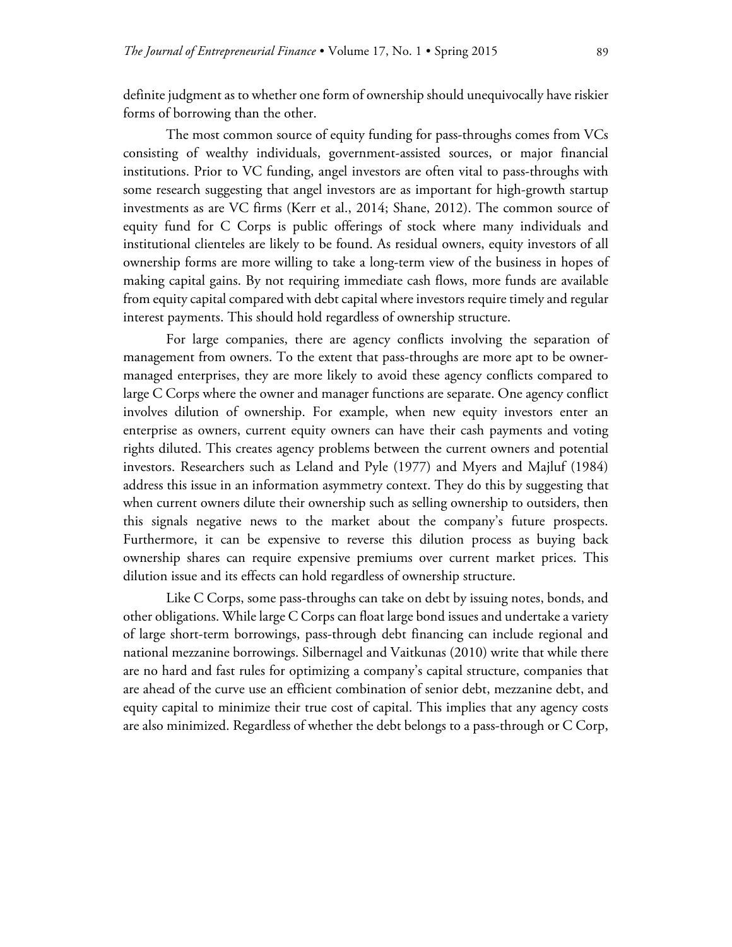definite judgment as to whether one form of ownership should unequivocally have riskier forms of borrowing than the other.

The most common source of equity funding for pass-throughs comes from VCs consisting of wealthy individuals, government-assisted sources, or major financial institutions. Prior to VC funding, angel investors are often vital to pass-throughs with some research suggesting that angel investors are as important for high-growth startup investments as are VC firms (Kerr et al., 2014; Shane, 2012). The common source of equity fund for C Corps is public offerings of stock where many individuals and institutional clienteles are likely to be found. As residual owners, equity investors of all ownership forms are more willing to take a long-term view of the business in hopes of making capital gains. By not requiring immediate cash flows, more funds are available from equity capital compared with debt capital where investors require timely and regular interest payments. This should hold regardless of ownership structure.

For large companies, there are agency conflicts involving the separation of management from owners. To the extent that pass-throughs are more apt to be ownermanaged enterprises, they are more likely to avoid these agency conflicts compared to large C Corps where the owner and manager functions are separate. One agency conflict involves dilution of ownership. For example, when new equity investors enter an enterprise as owners, current equity owners can have their cash payments and voting rights diluted. This creates agency problems between the current owners and potential investors. Researchers such as Leland and Pyle (1977) and Myers and Majluf (1984) address this issue in an information asymmetry context. They do this by suggesting that when current owners dilute their ownership such as selling ownership to outsiders, then this signals negative news to the market about the company's future prospects. Furthermore, it can be expensive to reverse this dilution process as buying back ownership shares can require expensive premiums over current market prices. This dilution issue and its effects can hold regardless of ownership structure.

Like C Corps, some pass-throughs can take on debt by issuing notes, bonds, and other obligations. While large C Corps can float large bond issues and undertake a variety of large short-term borrowings, pass-through debt financing can include regional and national mezzanine borrowings. Silbernagel and Vaitkunas (2010) write that while there are no hard and fast rules for optimizing a company's capital structure, companies that are ahead of the curve use an efficient combination of senior debt, mezzanine debt, and equity capital to minimize their true cost of capital. This implies that any agency costs are also minimized. Regardless of whether the debt belongs to a pass-through or C Corp,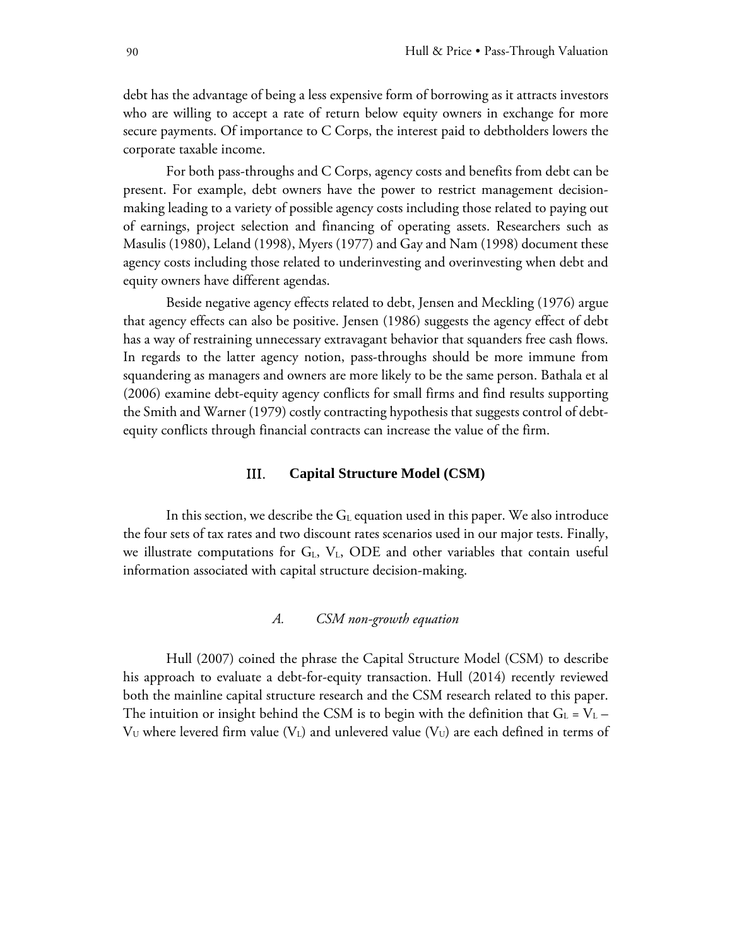debt has the advantage of being a less expensive form of borrowing as it attracts investors who are willing to accept a rate of return below equity owners in exchange for more secure payments. Of importance to C Corps, the interest paid to debtholders lowers the corporate taxable income.

For both pass-throughs and C Corps, agency costs and benefits from debt can be present. For example, debt owners have the power to restrict management decisionmaking leading to a variety of possible agency costs including those related to paying out of earnings, project selection and financing of operating assets. Researchers such as Masulis (1980), Leland (1998), Myers (1977) and Gay and Nam (1998) document these agency costs including those related to underinvesting and overinvesting when debt and equity owners have different agendas.

Beside negative agency effects related to debt, Jensen and Meckling (1976) argue that agency effects can also be positive. Jensen (1986) suggests the agency effect of debt has a way of restraining unnecessary extravagant behavior that squanders free cash flows. In regards to the latter agency notion, pass-throughs should be more immune from squandering as managers and owners are more likely to be the same person. Bathala et al (2006) examine debt-equity agency conflicts for small firms and find results supporting the Smith and Warner (1979) costly contracting hypothesis that suggests control of debtequity conflicts through financial contracts can increase the value of the firm.

## III. **Capital Structure Model (CSM)**

In this section, we describe the  $G<sub>L</sub>$  equation used in this paper. We also introduce the four sets of tax rates and two discount rates scenarios used in our major tests. Finally, we illustrate computations for  $G<sub>L</sub>$ ,  $V<sub>L</sub>$ , ODE and other variables that contain useful information associated with capital structure decision-making.

# *A. CSM non-growth equation*

Hull (2007) coined the phrase the Capital Structure Model (CSM) to describe his approach to evaluate a debt-for-equity transaction. Hull (2014) recently reviewed both the mainline capital structure research and the CSM research related to this paper. The intuition or insight behind the CSM is to begin with the definition that  $G_L = V_L V_U$  where levered firm value ( $V_L$ ) and unlevered value ( $V_U$ ) are each defined in terms of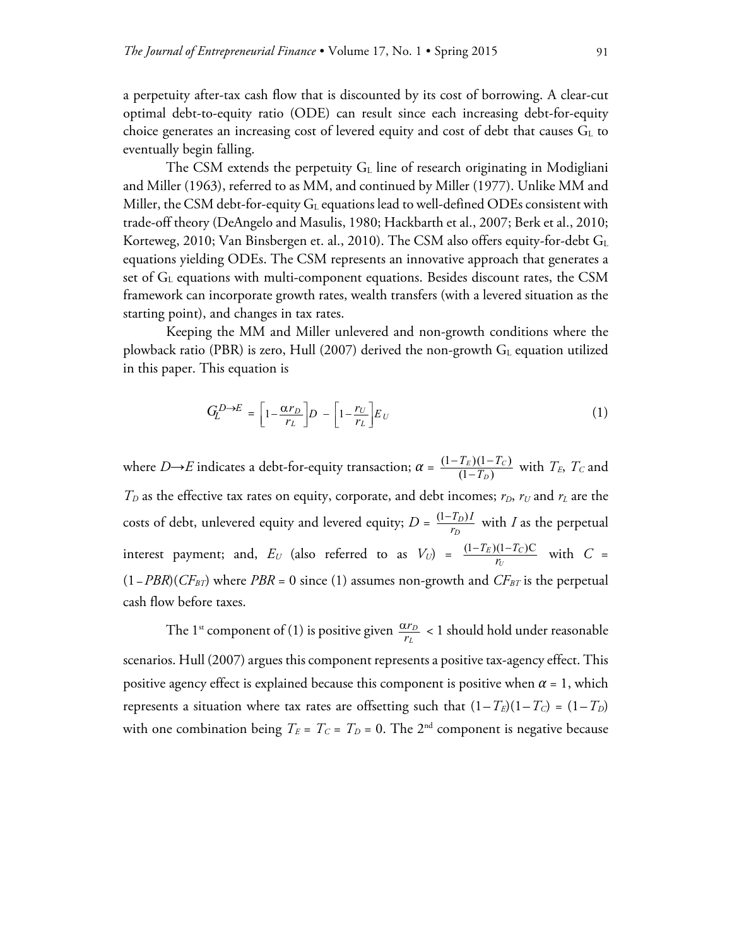a perpetuity after-tax cash flow that is discounted by its cost of borrowing. A clear-cut optimal debt-to-equity ratio (ODE) can result since each increasing debt-for-equity choice generates an increasing cost of levered equity and cost of debt that causes  $G<sub>L</sub>$  to eventually begin falling.

The CSM extends the perpetuity  $G<sub>L</sub>$  line of research originating in Modigliani and Miller (1963), referred to as MM, and continued by Miller (1977). Unlike MM and Miller, the CSM debt-for-equity  $G<sub>L</sub>$  equations lead to well-defined ODEs consistent with trade-off theory (DeAngelo and Masulis, 1980; Hackbarth et al., 2007; Berk et al., 2010; Korteweg, 2010; Van Binsbergen et. al., 2010). The CSM also offers equity-for-debt GL equations yielding ODEs. The CSM represents an innovative approach that generates a set of  $G_L$  equations with multi-component equations. Besides discount rates, the CSM framework can incorporate growth rates, wealth transfers (with a levered situation as the starting point), and changes in tax rates.

Keeping the MM and Miller unlevered and non-growth conditions where the plowback ratio (PBR) is zero, Hull (2007) derived the non-growth  $G<sub>L</sub>$  equation utilized in this paper. This equation is

$$
G_L^{D \to E} = \left[1 - \frac{\alpha r_D}{r_L}\right]D - \left[1 - \frac{r_U}{r_L}\right]E_U\tag{1}
$$

where *D*→*E* indicates a debt-for-equity transaction;  $\alpha = \frac{(1 - T_E)(1 - T_C)}{(1 - T_D)}$  $(T_E)(1 \frac{(E)(1-I_C)}{-T_D}$ *D*  $\frac{T_E(1-T_C)}{(1-T_D)}$  with  $T_E$ ,  $T_C$  and  $T_D$  as the effective tax rates on equity, corporate, and debt incomes;  $r_D$ ,  $r_U$  and  $r_L$  are the costs of debt, unlevered equity and levered equity;  $D = \frac{(1 - T_D)D}{r_D}$  $T_D$ ) *I*  $\frac{-T_D I}{r_D}$  with *I* as the perpetual interest payment; and,  $E_U$  (also referred to as  $V_U$ ) =  $\frac{(1-T_E)(1-T_C)C}{r_U}$  $T_E$ ) $(1-T_C$  $\frac{-T_E(1-T_C)C}{r_U}$  with *C* = (1-*PBR*)(*CF<sub>BT</sub>*) where *PBR* = 0 since (1) assumes non-growth and *CF<sub>BT</sub>* is the perpetual cash flow before taxes.

The 1<sup>st</sup> component of (1) is positive given  $\frac{\alpha r_D}{r_L}$ *r*  $\frac{\alpha r_D}{r_L}$  < 1 should hold under reasonable scenarios. Hull (2007) argues this component represents a positive tax-agency effect. This positive agency effect is explained because this component is positive when  $\alpha = 1$ , which represents a situation where tax rates are offsetting such that  $(1-T_E)(1-T_C) = (1-T_D)$ with one combination being  $T_E = T_C = T_D = 0$ . The 2<sup>nd</sup> component is negative because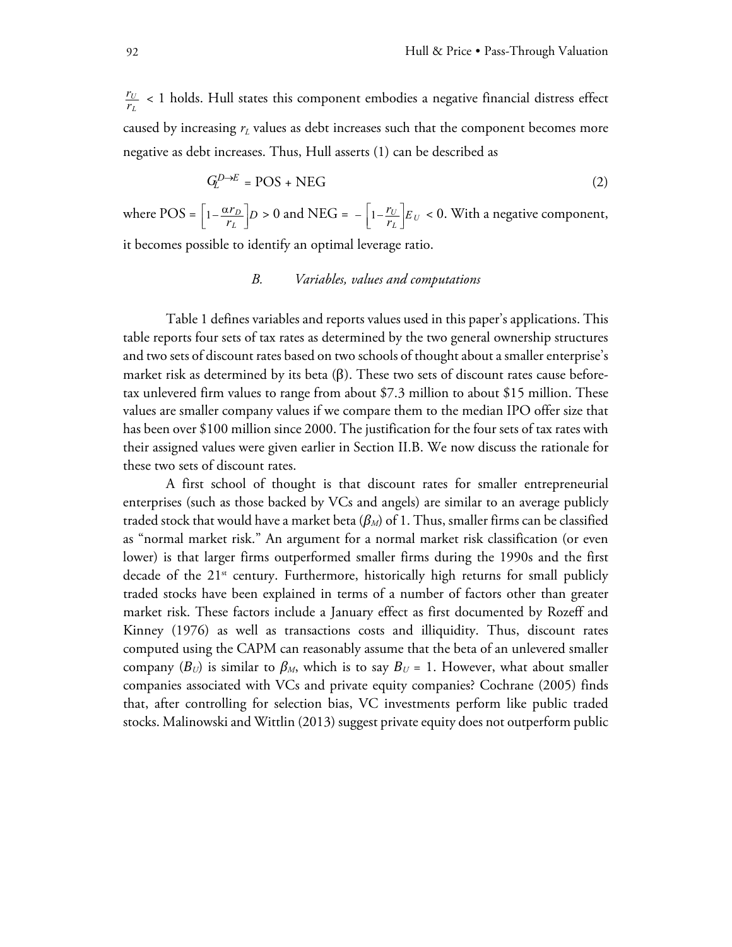*U L*  $\frac{r_U}{r_L}$  < 1 holds. Hull states this component embodies a negative financial distress effect caused by increasing  $r<sub>L</sub>$  values as debt increases such that the component becomes more negative as debt increases. Thus, Hull asserts (1) can be described as

$$
G_L^{D \to E} = \text{POS} + \text{NEG} \tag{2}
$$

where POS =  $\left[1 - \frac{\alpha r_D}{r_L}\right]$  $\left[\frac{u_{D}}{r_{L}}\right]D > 0$  and NEG =  $-\left[1 - \frac{r_{U}}{r_{L}}\right]E_{U} < 0$ . With a negative component,

it becomes possible to identify an optimal leverage ratio.

# *B. Variables, values and computations*

Table 1 defines variables and reports values used in this paper's applications. This table reports four sets of tax rates as determined by the two general ownership structures and two sets of discount rates based on two schools of thought about a smaller enterprise's market risk as determined by its beta  $(\beta)$ . These two sets of discount rates cause beforetax unlevered firm values to range from about \$7.3 million to about \$15 million. These values are smaller company values if we compare them to the median IPO offer size that has been over \$100 million since 2000. The justification for the four sets of tax rates with their assigned values were given earlier in Section II.B. We now discuss the rationale for these two sets of discount rates.

A first school of thought is that discount rates for smaller entrepreneurial enterprises (such as those backed by VCs and angels) are similar to an average publicly traded stock that would have a market beta (*βM*) of 1. Thus, smaller firms can be classified as "normal market risk." An argument for a normal market risk classification (or even lower) is that larger firms outperformed smaller firms during the 1990s and the first decade of the  $21^{st}$  century. Furthermore, historically high returns for small publicly traded stocks have been explained in terms of a number of factors other than greater market risk. These factors include a January effect as first documented by Rozeff and Kinney (1976) as well as transactions costs and illiquidity. Thus, discount rates computed using the CAPM can reasonably assume that the beta of an unlevered smaller company  $(B_U)$  is similar to  $\beta_M$ , which is to say  $B_U = 1$ . However, what about smaller companies associated with VCs and private equity companies? Cochrane (2005) finds that, after controlling for selection bias, VC investments perform like public traded stocks. Malinowski and Wittlin (2013) suggest private equity does not outperform public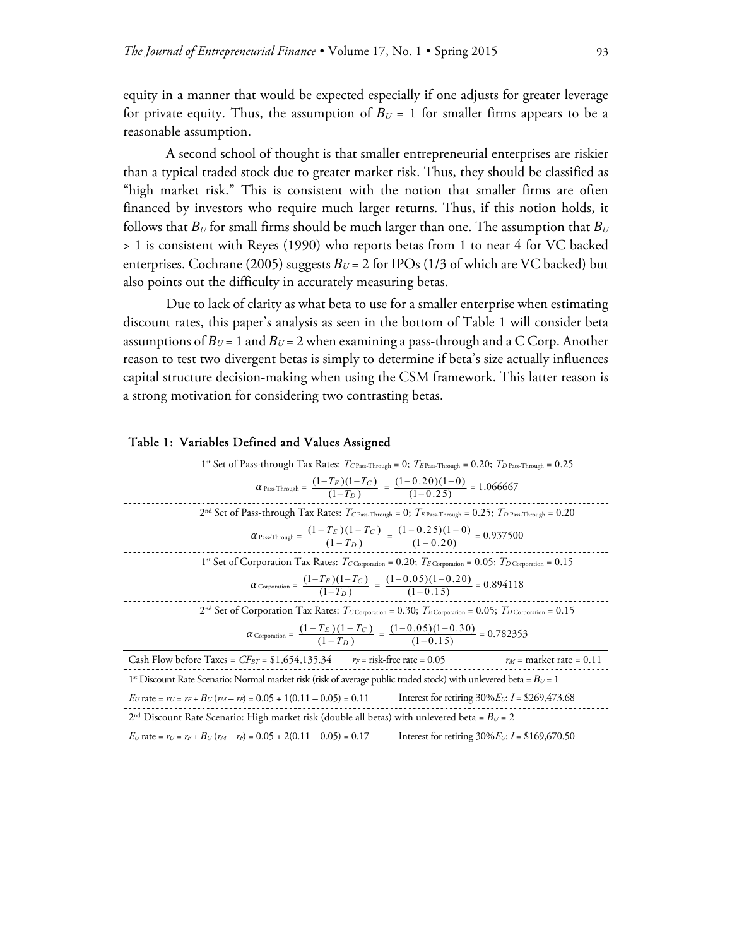equity in a manner that would be expected especially if one adjusts for greater leverage for private equity. Thus, the assumption of  $B_U = 1$  for smaller firms appears to be a reasonable assumption.

A second school of thought is that smaller entrepreneurial enterprises are riskier than a typical traded stock due to greater market risk. Thus, they should be classified as "high market risk." This is consistent with the notion that smaller firms are often financed by investors who require much larger returns. Thus, if this notion holds, it follows that  $B_U$  for small firms should be much larger than one. The assumption that  $B_U$ > 1 is consistent with Reyes (1990) who reports betas from 1 to near 4 for VC backed enterprises. Cochrane (2005) suggests *ΒU* = 2 for IPOs (1/3 of which are VC backed) but also points out the difficulty in accurately measuring betas.

Due to lack of clarity as what beta to use for a smaller enterprise when estimating discount rates, this paper's analysis as seen in the bottom of Table 1 will consider beta assumptions of  $B_U$  = 1 and  $B_U$  = 2 when examining a pass-through and a C Corp. Another reason to test two divergent betas is simply to determine if beta's size actually influences capital structure decision-making when using the CSM framework. This latter reason is a strong motivation for considering two contrasting betas.

| 1 <sup>st</sup> Set of Pass-through Tax Rates: $T_{CPass-Throught} = 0$ ; $T_{EPass-Throught} = 0.20$ ; $T_{DPass-Throught} = 0.25$                     |
|---------------------------------------------------------------------------------------------------------------------------------------------------------|
| $\alpha_{\text{Pass-Through}} = \frac{(1 - I_E)(1 - I_C)}{(1 - T_D)} = \frac{(1 - 0.20)(1 - 0)}{(1 - 0.25)} = 1.066667$                                 |
| 2 <sup>nd</sup> Set of Pass-through Tax Rates: $T_{CPass-Throught} = 0$ ; $T_{EPass-Throught} = 0.25$ ; $T_{DPass-Throught} = 0.20$                     |
| $\alpha_{\text{Pas-Throught}} = \frac{(1 - IE)(1 - IC)}{(1 - T_D)} = \frac{(1 - 0.23)(1 - 0)}{(1 - 0.20)} = 0.937500$                                   |
| 1 <sup>st</sup> Set of Corporation Tax Rates: $T_{C\text{ Corporation}} = 0.20$ ; $T_{E\text{ Corporation}} = 0.05$ ; $T_{D\text{ Corporation}} = 0.15$ |
| $\alpha_{\text{Corporation}} = \frac{(1 - I_E)(1 - I_C)}{(1 - T_D)} = \frac{(1 - 0.05)(1 - 0.20)}{(1 - 0.15)} = 0.894118$                               |
| 2 <sup>nd</sup> Set of Corporation Tax Rates: $T_{C\text{ Corporation}} = 0.30$ ; $T_{E\text{ Corporation}} = 0.05$ ; $T_{D\text{ Corporation}} = 0.15$ |
| $\alpha_{\text{Corporation}} = \frac{(1 - T_E)(1 - T_C)}{(1 - T_D)} = \frac{(1 - 0.05)(1 - 0.30)}{(1 - 0.15)} = 0.782353$                               |
| Cash Flow before Taxes = $CF_{BT}$ = \$1,654,135.34 $r_F$ = risk-free rate = 0.05<br>$r_M$ = market rate = 0.11                                         |
| 1 <sup>st</sup> Discount Rate Scenario: Normal market risk (risk of average public traded stock) with unlevered beta = $B_U$ = 1                        |
| $E_U$ rate = $r_U = r_F + B_U(r_M - r_F) = 0.05 + 1(0.11 - 0.05) = 0.11$<br>Interest for retiring $30\%$ <i>Ev</i> : <i>I</i> = \$269,473.68            |
| $2nd$ Discount Rate Scenario: High market risk (double all betas) with unlevered beta = $B_U$ = 2                                                       |

*EU* rate = *rU* = *rF* + *ΒU* (*rM* – *rF*) = 0.05 + 2(0.11 – 0.05) = 0.17 Interest for retiring 30%*EU*: *I* = \$169,670.50

#### Table 1: Variables Defined and Values Assigned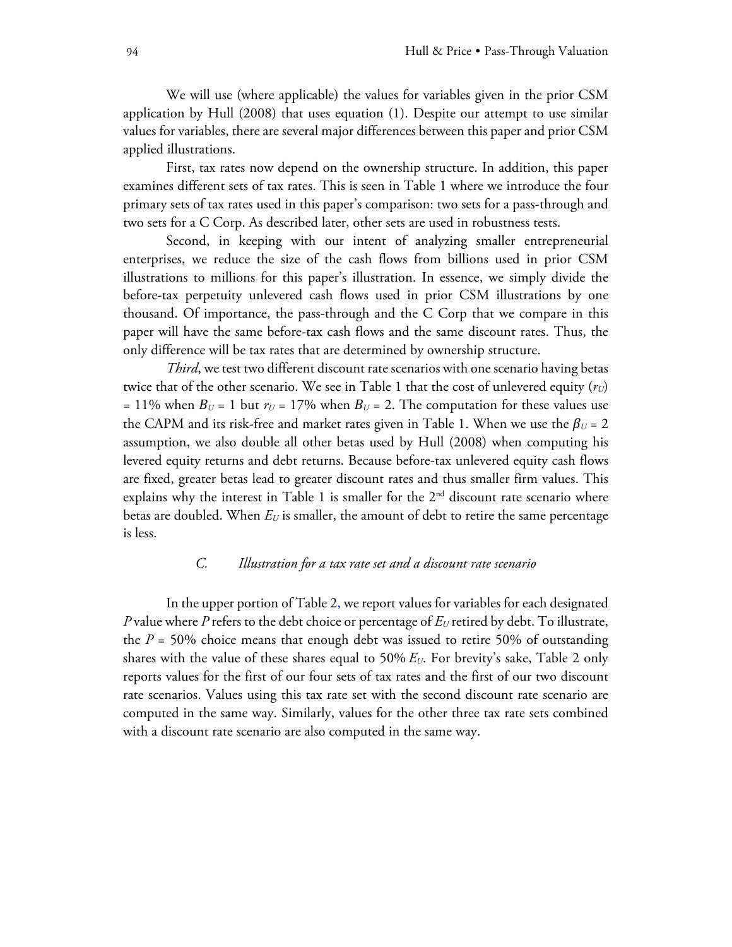We will use (where applicable) the values for variables given in the prior CSM application by Hull (2008) that uses equation (1). Despite our attempt to use similar values for variables, there are several major differences between this paper and prior CSM applied illustrations.

First, tax rates now depend on the ownership structure. In addition, this paper examines different sets of tax rates. This is seen in Table 1 where we introduce the four primary sets of tax rates used in this paper's comparison: two sets for a pass-through and two sets for a C Corp. As described later, other sets are used in robustness tests.

Second, in keeping with our intent of analyzing smaller entrepreneurial enterprises, we reduce the size of the cash flows from billions used in prior CSM illustrations to millions for this paper's illustration. In essence, we simply divide the before-tax perpetuity unlevered cash flows used in prior CSM illustrations by one thousand. Of importance, the pass-through and the C Corp that we compare in this paper will have the same before-tax cash flows and the same discount rates. Thus, the only difference will be tax rates that are determined by ownership structure.

*Third*, we test two different discount rate scenarios with one scenario having betas twice that of the other scenario. We see in Table 1 that the cost of unlevered equity  $(r_U)$ = 11% when  $B_U$  = 1 but  $r_U$  = 17% when  $B_U$  = 2. The computation for these values use the CAPM and its risk-free and market rates given in Table 1. When we use the  $\beta_U = 2$ assumption, we also double all other betas used by Hull (2008) when computing his levered equity returns and debt returns. Because before-tax unlevered equity cash flows are fixed, greater betas lead to greater discount rates and thus smaller firm values. This explains why the interest in Table 1 is smaller for the  $2<sup>nd</sup>$  discount rate scenario where betas are doubled. When  $E_U$  is smaller, the amount of debt to retire the same percentage is less.

## *C. Illustration for a tax rate set and a discount rate scenario*

In the upper portion of Table 2, we report values for variables for each designated *P* value where *P* refers to the debt choice or percentage of  $E_U$  retired by debt. To illustrate, the  $P = 50\%$  choice means that enough debt was issued to retire 50% of outstanding shares with the value of these shares equal to 50% *EU*. For brevity's sake, Table 2 only reports values for the first of our four sets of tax rates and the first of our two discount rate scenarios. Values using this tax rate set with the second discount rate scenario are computed in the same way. Similarly, values for the other three tax rate sets combined with a discount rate scenario are also computed in the same way.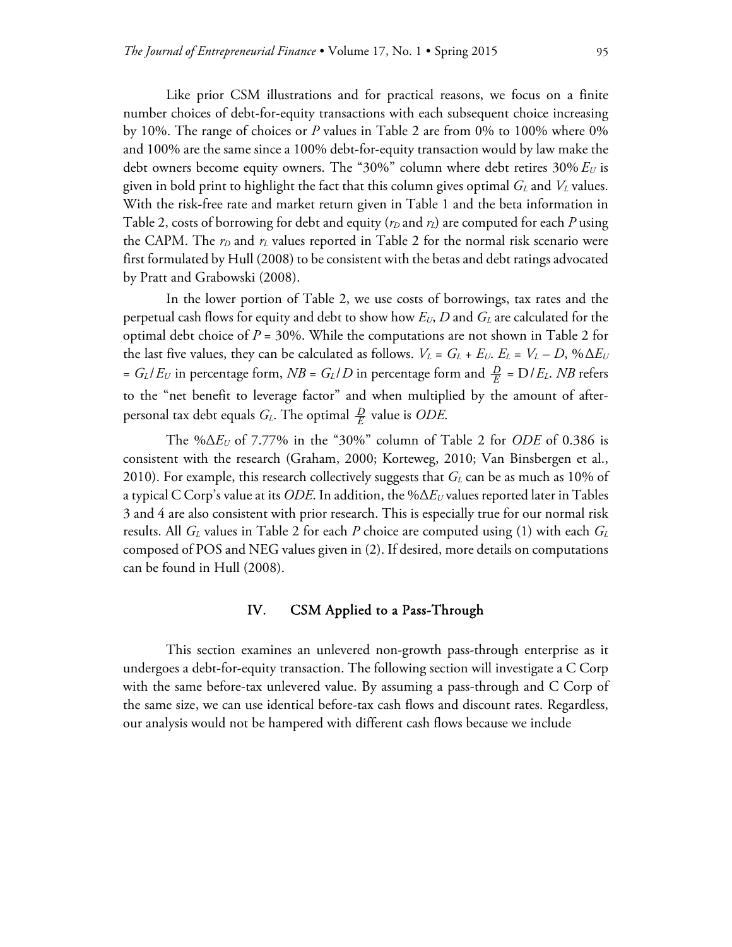Like prior CSM illustrations and for practical reasons, we focus on a finite number choices of debt-for-equity transactions with each subsequent choice increasing by 10%. The range of choices or *P* values in Table 2 are from 0% to 100% where 0% and 100% are the same since a 100% debt-for-equity transaction would by law make the debt owners become equity owners. The "30%" column where debt retires 30%  $E_U$  is given in bold print to highlight the fact that this column gives optimal *GL* and *VL* values. With the risk-free rate and market return given in Table 1 and the beta information in Table 2, costs of borrowing for debt and equity ( $r_D$  and  $r_L$ ) are computed for each P using the CAPM. The  $r_D$  and  $r_L$  values reported in Table 2 for the normal risk scenario were first formulated by Hull (2008) to be consistent with the betas and debt ratings advocated by Pratt and Grabowski (2008).

In the lower portion of Table 2, we use costs of borrowings, tax rates and the perpetual cash flows for equity and debt to show how *EU*, *D* and *GL* are calculated for the optimal debt choice of *P* = 30%. While the computations are not shown in Table 2 for the last five values, they can be calculated as follows.  $V_L = G_L + E_U$ .  $E_L = V_L - D$ , % $\Delta E_U$ =  $G_L/E_U$  in percentage form,  $NB = G_L/D$  in percentage form and  $\frac{D}{E} = D/E_L$ . *NB* refers to the "net benefit to leverage factor" and when multiplied by the amount of afterpersonal tax debt equals  $G_L$ . The optimal  $\frac{D}{E}$  value is *ODE*.

The %Δ*EU* of 7.77% in the "30%" column of Table 2 for *ODE* of 0.386 is consistent with the research (Graham, 2000; Korteweg, 2010; Van Binsbergen et al., 2010). For example, this research collectively suggests that  $G_L$  can be as much as 10% of a typical C Corp's value at its *ODE*. In addition, the %Δ*EU* values reported later in Tables 3 and 4 are also consistent with prior research. This is especially true for our normal risk results. All *GL* values in Table 2 for each *P* choice are computed using (1) with each *GL* composed of POS and NEG values given in (2). If desired, more details on computations can be found in Hull (2008).

#### IV. CSM Applied to a Pass-Through

 This section examines an unlevered non-growth pass-through enterprise as it undergoes a debt-for-equity transaction. The following section will investigate a C Corp with the same before-tax unlevered value. By assuming a pass-through and C Corp of the same size, we can use identical before-tax cash flows and discount rates. Regardless, our analysis would not be hampered with different cash flows because we include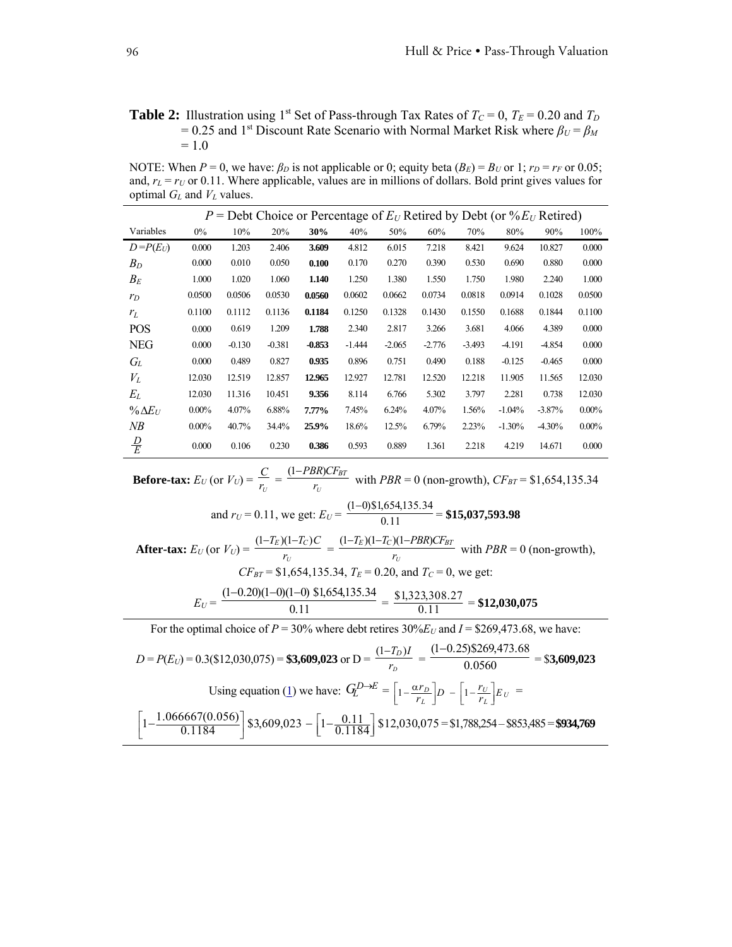## **Table 2:** Illustration using 1<sup>st</sup> Set of Pass-through Tax Rates of  $T_c = 0$ ,  $T_E = 0.20$  and  $T_D$  $= 0.25$  and 1<sup>st</sup> Discount Rate Scenario with Normal Market Risk where  $\beta_U = \beta_M$  $= 1.0$

NOTE: When  $P = 0$ , we have:  $\beta_D$  is not applicable or 0; equity beta  $(B_E) = B_U$  or 1;  $r_D = r_F$  or 0.05; and,  $r_L = r_U$  or 0.11. Where applicable, values are in millions of dollars. Bold print gives values for optimal  $G_L$  and  $V_L$  values.

| $P =$ Debt Choice or Percentage of $E_U$ Retired by Debt (or % $E_U$ Retired) |          |          |          |          |          |          |          |          |          |          |          |
|-------------------------------------------------------------------------------|----------|----------|----------|----------|----------|----------|----------|----------|----------|----------|----------|
| Variables                                                                     | $0\%$    | 10%      | 20%      | 30%      | 40%      | 50%      | 60%      | 70%      | 80%      | 90%      | 100%     |
| $D = P(E_U)$                                                                  | 0.000    | 1.203    | 2.406    | 3.609    | 4.812    | 6.015    | 7.218    | 8.421    | 9.624    | 10.827   | 0.000    |
| $B_D$                                                                         | 0.000    | 0.010    | 0.050    | 0.100    | 0.170    | 0.270    | 0.390    | 0.530    | 0.690    | 0.880    | 0.000    |
| $B_E$                                                                         | 1.000    | 1.020    | 1.060    | 1.140    | 1.250    | 1.380    | 1.550    | 1.750    | 1.980    | 2.240    | 1.000    |
| $r_D$                                                                         | 0.0500   | 0.0506   | 0.0530   | 0.0560   | 0.0602   | 0.0662   | 0.0734   | 0.0818   | 0.0914   | 0.1028   | 0.0500   |
| $r_L$                                                                         | 0.1100   | 0.1112   | 0.1136   | 0.1184   | 0.1250   | 0.1328   | 0.1430   | 0.1550   | 0.1688   | 0.1844   | 0.1100   |
| <b>POS</b>                                                                    | 0.000    | 0.619    | 1.209    | 1.788    | 2.340    | 2.817    | 3.266    | 3.681    | 4.066    | 4.389    | 0.000    |
| <b>NEG</b>                                                                    | 0.000    | $-0.130$ | $-0.381$ | $-0.853$ | $-1.444$ | $-2.065$ | $-2.776$ | $-3.493$ | -4.191   | -4.854   | 0.000    |
| Gī.                                                                           | 0.000    | 0.489    | 0.827    | 0.935    | 0.896    | 0.751    | 0.490    | 0.188    | $-0.125$ | $-0.465$ | 0.000    |
| $V_L$                                                                         | 12.030   | 12.519   | 12.857   | 12.965   | 12.927   | 12.781   | 12.520   | 12.218   | 11.905   | 11.565   | 12.030   |
| $E_L$                                                                         | 12.030   | 11.316   | 10.451   | 9.356    | 8.114    | 6.766    | 5.302    | 3.797    | 2.281    | 0.738    | 12.030   |
| $\% \Delta E_U$                                                               | $0.00\%$ | 4.07%    | 6.88%    | $7.77\%$ | 7.45%    | 6.24%    | 4.07%    | 1.56%    | $-1.04%$ | $-3.87%$ | $0.00\%$ |
| NВ                                                                            | $0.00\%$ | 40.7%    | 34.4%    | 25.9%    | 18.6%    | 12.5%    | 6.79%    | 2.23%    | $-1.30%$ | $-4.30%$ | $0.00\%$ |
| $\frac{D}{E}$                                                                 | 0.000    | 0.106    | 0.230    | 0.386    | 0.593    | 0.889    | 1.361    | 2.218    | 4.219    | 14.671   | 0.000    |

Before-tax: 
$$
E_U
$$
 (or  $V_U$ ) =  $\frac{C}{r_U} = \frac{(1 - PBR)CF_{BT}}{r_U}$  with  $PBR = 0$  (non-growth),  $CF_{BT} = $1,654,135.34$   
and  $r_U = 0.11$ , we get:  $E_U = \frac{(1-0) \$1,654,135.34}{0.11} = $15,037,593.98$   
After-tax:  $E_U$  (or  $V_U$ ) =  $\frac{(1 - T_E)(1 - T_C)C}{r_U} = \frac{(1 - T_E)(1 - T_C)(1 - PBR)CF_{BT}}{r_U}$  with  $PBR = 0$  (non-growth),  
 $CF_{BT} = $1,654,135.34$ ,  $T_E = 0.20$ , and  $T_C = 0$ , we get:  
 $E_U = \frac{(1-0.20)(1-0)(1-0) \$1,654,135.34}{0.11} = \frac{\$1,323,308.27}{0.11} = \$12,030,075$   
For the optimal choice of  $P = 30\%$  where debt retrieves  $30\%E_U$  and  $I = $269,473.68$ , we have:

| $D = P(E_U) = 0.3$ (\$12,030,075) = <b>\$3,609,023</b> or $D = \frac{(1 - T_D)I}{r_D} = \frac{(1 - 0.25) $269,473.68}{0.0560}$ =                      |  | $=$ \$3,609,023 |
|-------------------------------------------------------------------------------------------------------------------------------------------------------|--|-----------------|
| Using equation (1) we have: $G_L^{D\to E} = \left[1 - \frac{\alpha r_D}{r_I}\right]D - \left[1 - \frac{r_U}{r_I}\right]E_U =$                         |  |                 |
| $\left[1-\frac{1.066667(0.056)}{0.1184}\right]$ \$3,609,023 - $\left[1-\frac{0.11}{0.1184}\right]$ \$12,030,075 = \$1,788,254 - \$853,485 = \$934,769 |  |                 |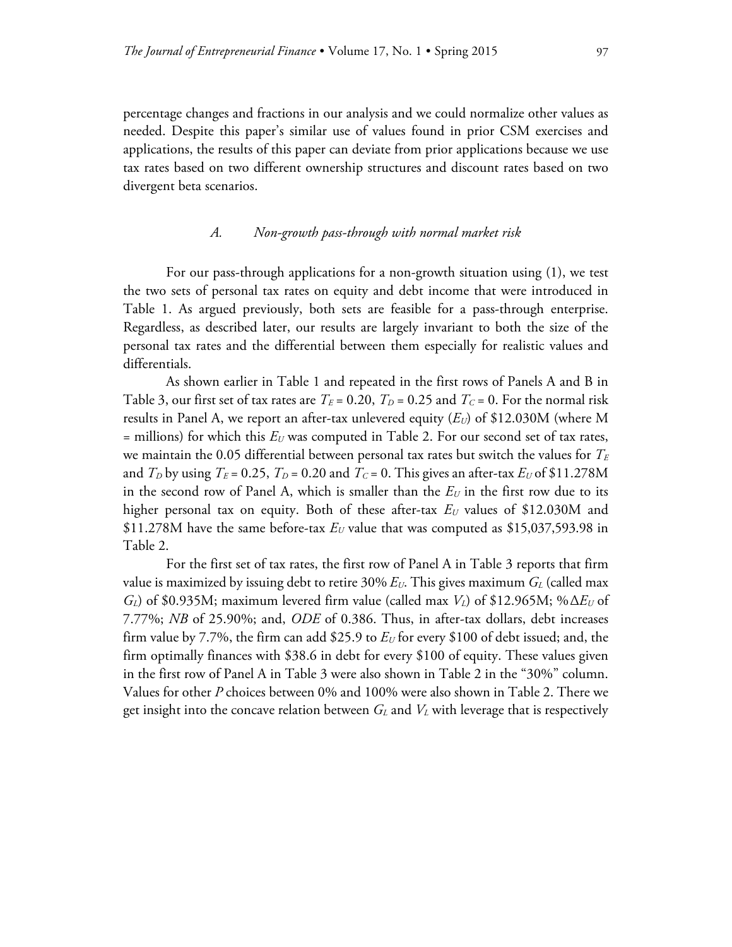percentage changes and fractions in our analysis and we could normalize other values as needed. Despite this paper's similar use of values found in prior CSM exercises and applications, the results of this paper can deviate from prior applications because we use tax rates based on two different ownership structures and discount rates based on two divergent beta scenarios.

## *A. Non-growth pass-through with normal market risk*

 For our pass-through applications for a non-growth situation using (1), we test the two sets of personal tax rates on equity and debt income that were introduced in Table 1. As argued previously, both sets are feasible for a pass-through enterprise. Regardless, as described later, our results are largely invariant to both the size of the personal tax rates and the differential between them especially for realistic values and differentials.

 As shown earlier in Table 1 and repeated in the first rows of Panels A and B in Table 3, our first set of tax rates are  $T_E = 0.20$ ,  $T_D = 0.25$  and  $T_C = 0$ . For the normal risk results in Panel A, we report an after-tax unlevered equity  $(E_U)$  of \$12.030M (where M  $=$  millions) for which this  $E_U$  was computed in Table 2. For our second set of tax rates, we maintain the 0.05 differential between personal tax rates but switch the values for  $T_E$ and  $T_D$  by using  $T_E$  = 0.25,  $T_D$  = 0.20 and  $T_C$  = 0. This gives an after-tax  $E_U$  of \$11.278M in the second row of Panel A, which is smaller than the  $E_U$  in the first row due to its higher personal tax on equity. Both of these after-tax  $E_U$  values of \$12.030M and \$11.278M have the same before-tax  $E_U$  value that was computed as \$15,037,593.98 in Table 2.

 For the first set of tax rates, the first row of Panel A in Table 3 reports that firm value is maximized by issuing debt to retire  $30\% E_U$ . This gives maximum  $G_L$  (called max *GL*) of \$0.935M; maximum levered firm value (called max *VL*) of \$12.965M; %Δ*EU* of 7.77%; *NB* of 25.90%; and, *ODE* of 0.386. Thus, in after-tax dollars, debt increases firm value by 7.7%, the firm can add \$25.9 to  $E_U$  for every \$100 of debt issued; and, the firm optimally finances with \$38.6 in debt for every \$100 of equity. These values given in the first row of Panel A in Table 3 were also shown in Table 2 in the "30%" column. Values for other *P* choices between 0% and 100% were also shown in Table 2. There we get insight into the concave relation between  $G_L$  and  $V_L$  with leverage that is respectively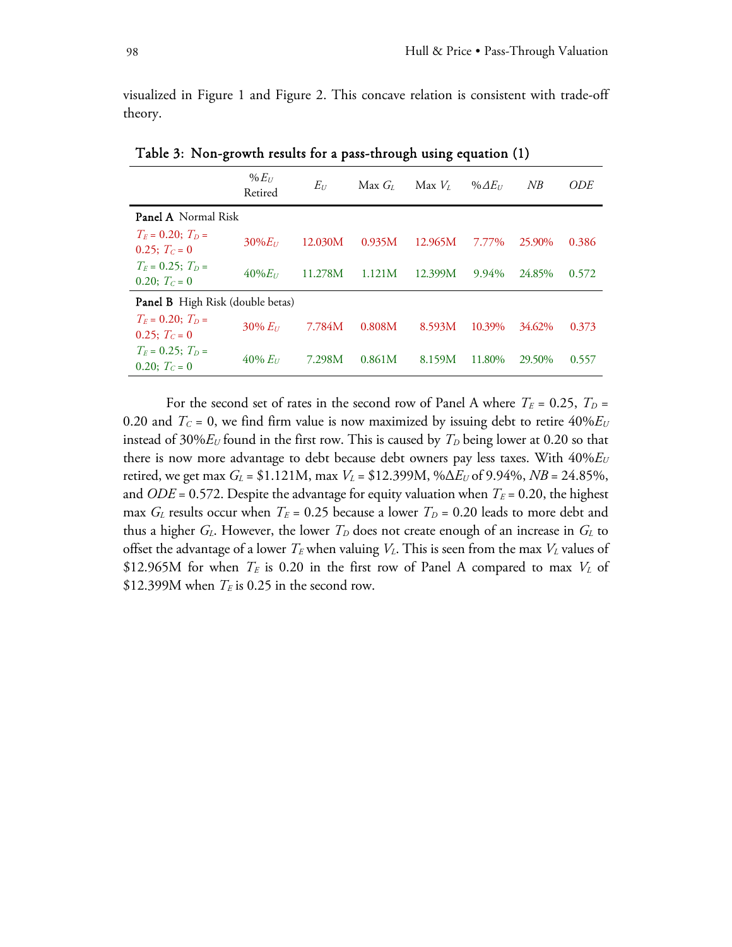visualized in Figure 1 and Figure 2. This concave relation is consistent with trade-off theory.

|                                           | $% E_{U}$<br>Retired | $E_U$   | Max G <sub>t</sub> | Max V <sub>r</sub> | % $\Delta E_U$ | NB     | <i>ODE</i> |  |  |
|-------------------------------------------|----------------------|---------|--------------------|--------------------|----------------|--------|------------|--|--|
| <b>Panel A</b> Normal Risk                |                      |         |                    |                    |                |        |            |  |  |
| $T_F = 0.20$ ; $T_D =$<br>0.25; $T_c = 0$ | $30\%E_U$            | 12.030M | 0.935M             | 12.965M            | 7.77%          | 25.90% | 0.386      |  |  |
| $T_F = 0.25$ ; $T_D =$<br>0.20; $T_c = 0$ | $40\%E_U$            | 11.278M | 1.121M             | 12.399M            | 9.94%          | 24.85% | 0.572      |  |  |
| Panel B High Risk (double betas)          |                      |         |                    |                    |                |        |            |  |  |
| $T_F = 0.20$ ; $T_D =$<br>0.25; $T_c = 0$ | $30\% E_U$           | 7.784M  | 0.808M             | 8.593M             | 10.39%         | 34.62% | 0.373      |  |  |
| $T_F = 0.25$ ; $T_D =$<br>0.20; $T_c = 0$ | $40\% E_{U}$         | 7.298M  | 0.861M             | 8.159M             | 11.80%         | 29.50% | 0.557      |  |  |

Table 3: Non-growth results for a pass-through using equation (1)

For the second set of rates in the second row of Panel A where  $T_E = 0.25$ ,  $T_D =$ 0.20 and  $T_c = 0$ , we find firm value is now maximized by issuing debt to retire  $40\%E_U$ instead of 30% $E_U$  found in the first row. This is caused by  $T_D$  being lower at 0.20 so that there is now more advantage to debt because debt owners pay less taxes. With 40%*EU* retired, we get max  $G_L = \$1.121M$ , max  $V_L = \$12.399M$ , % $\Delta E_U$  of 9.94%,  $NB = 24.85\%$ , and *ODE* = 0.572. Despite the advantage for equity valuation when  $T_E$  = 0.20, the highest max  $G_L$  results occur when  $T_E = 0.25$  because a lower  $T_D = 0.20$  leads to more debt and thus a higher  $G_L$ . However, the lower  $T_D$  does not create enough of an increase in  $G_L$  to offset the advantage of a lower  $T_E$  when valuing  $V_L$ . This is seen from the max  $V_L$  values of \$12.965M for when  $T_E$  is 0.20 in the first row of Panel A compared to max  $V_L$  of \$12.399M when  $T_E$  is 0.25 in the second row.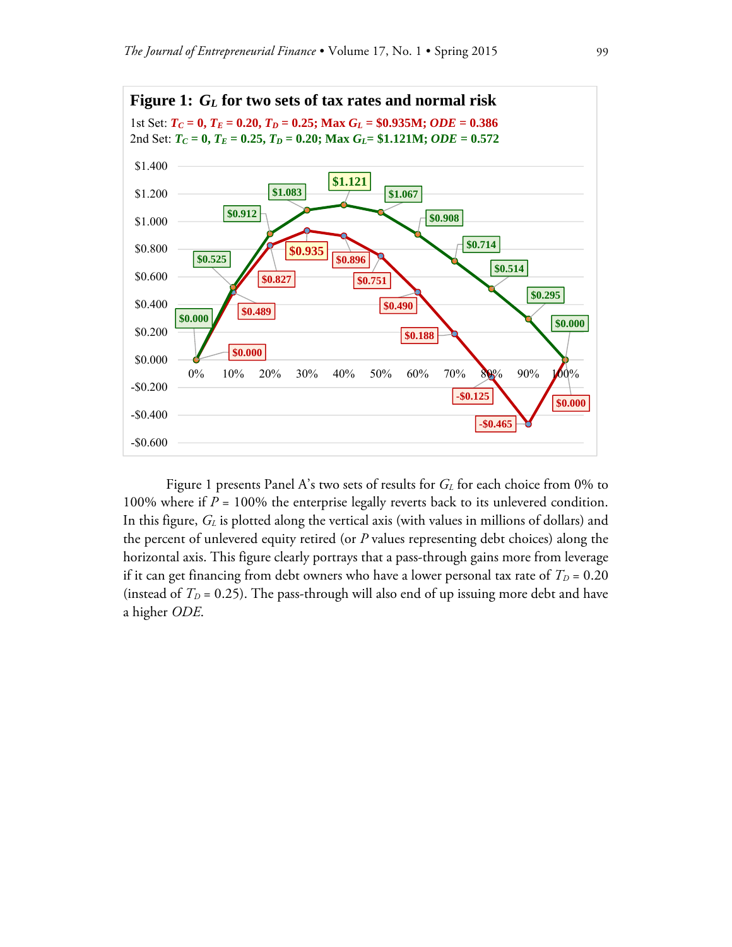

Figure 1 presents Panel A's two sets of results for *G<sub>L</sub>* for each choice from 0% to 100% where if *P* = 100% the enterprise legally reverts back to its unlevered condition. In this figure,  $G_L$  is plotted along the vertical axis (with values in millions of dollars) and the percent of unlevered equity retired (or *P* values representing debt choices) along the horizontal axis. This figure clearly portrays that a pass-through gains more from leverage if it can get financing from debt owners who have a lower personal tax rate of  $T_D = 0.20$ (instead of  $T_D = 0.25$ ). The pass-through will also end of up issuing more debt and have a higher *ODE*.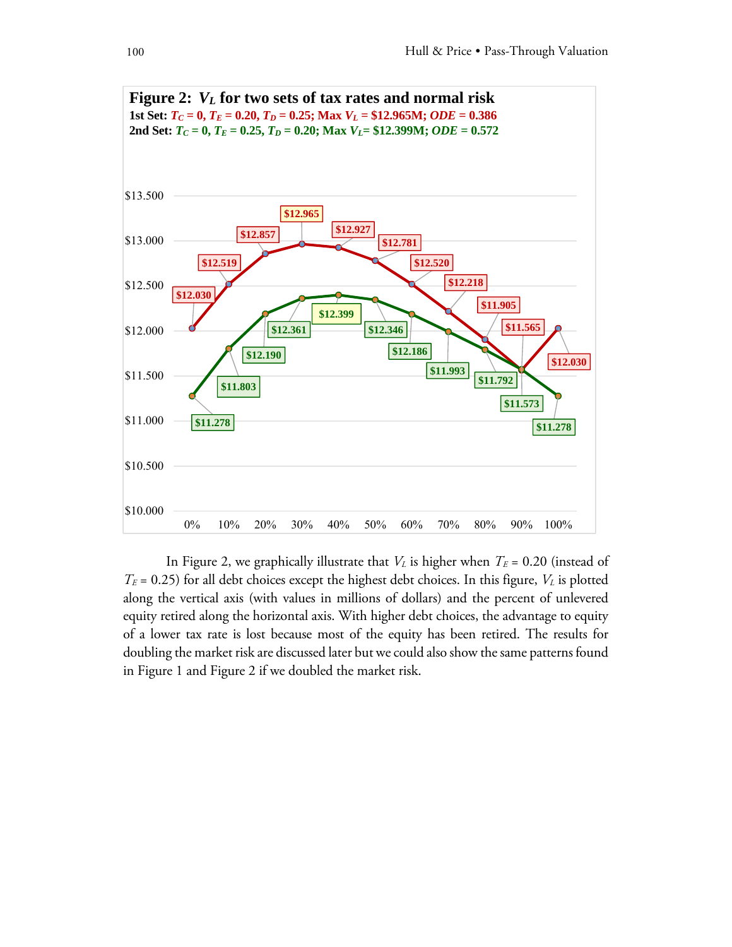

In Figure 2, we graphically illustrate that  $V_L$  is higher when  $T_E = 0.20$  (instead of  $T_E$  = 0.25) for all debt choices except the highest debt choices. In this figure,  $V_L$  is plotted along the vertical axis (with values in millions of dollars) and the percent of unlevered equity retired along the horizontal axis. With higher debt choices, the advantage to equity of a lower tax rate is lost because most of the equity has been retired. The results for doubling the market risk are discussed later but we could also show the same patterns found in Figure 1 and Figure 2 if we doubled the market risk.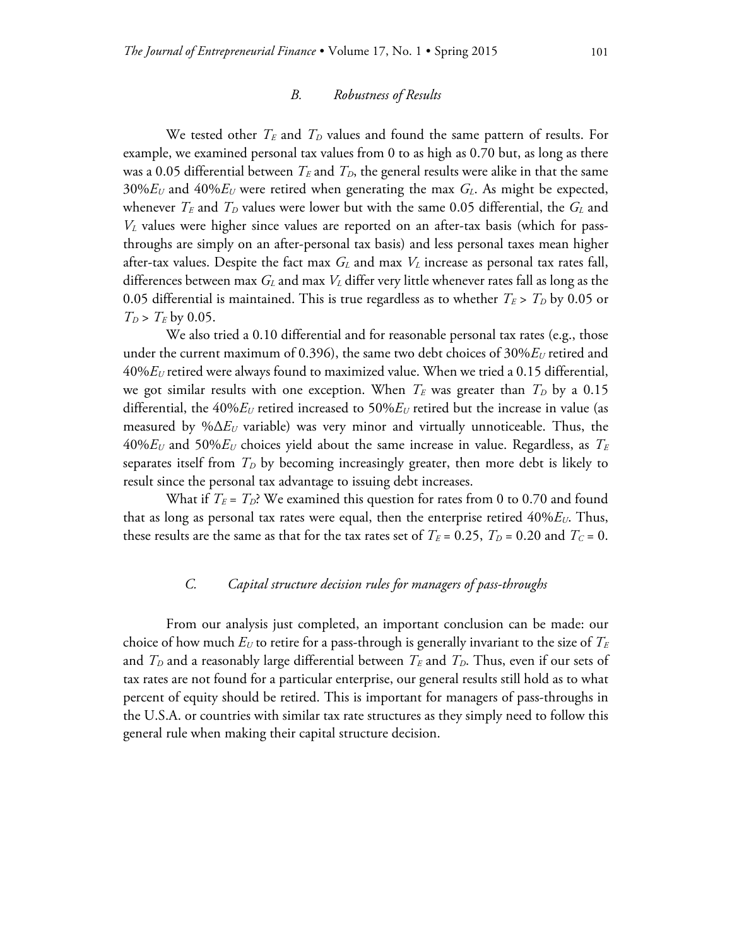#### *B. Robustness of Results*

We tested other  $T_E$  and  $T_D$  values and found the same pattern of results. For example, we examined personal tax values from 0 to as high as 0.70 but, as long as there was a 0.05 differential between  $T_E$  and  $T_D$ , the general results were alike in that the same  $30\%E_U$  and  $40\%E_U$  were retired when generating the max  $G_L$ . As might be expected, whenever  $T_E$  and  $T_D$  values were lower but with the same 0.05 differential, the  $G_L$  and *VL* values were higher since values are reported on an after-tax basis (which for passthroughs are simply on an after-personal tax basis) and less personal taxes mean higher after-tax values. Despite the fact max  $G_L$  and max  $V_L$  increase as personal tax rates fall, differences between max *GL* and max *VL* differ very little whenever rates fall as long as the 0.05 differential is maintained. This is true regardless as to whether  $T_E > T_D$  by 0.05 or  $T_D > T_E$  by 0.05.

 We also tried a 0.10 differential and for reasonable personal tax rates (e.g., those under the current maximum of 0.396), the same two debt choices of 30% $E<sub>U</sub>$  retired and 40%*EU* retired were always found to maximized value. When we tried a 0.15 differential, we got similar results with one exception. When  $T_E$  was greater than  $T_D$  by a 0.15 differential, the  $40\%E_U$  retired increased to  $50\%E_U$  retired but the increase in value (as measured by %Δ*EU* variable) was very minor and virtually unnoticeable. Thus, the 40%*EU* and 50%*EU* choices yield about the same increase in value. Regardless, as *TE* separates itself from  $T<sub>D</sub>$  by becoming increasingly greater, then more debt is likely to result since the personal tax advantage to issuing debt increases.

What if  $T_E = T_D$ ? We examined this question for rates from 0 to 0.70 and found that as long as personal tax rates were equal, then the enterprise retired 40%*E*<sub>*U*</sub>. Thus, these results are the same as that for the tax rates set of  $T_E = 0.25$ ,  $T_D = 0.20$  and  $T_C = 0$ .

#### *C. Capital structure decision rules for managers of pass-throughs*

 From our analysis just completed, an important conclusion can be made: our choice of how much  $E_U$  to retire for a pass-through is generally invariant to the size of  $T_E$ and  $T_D$  and a reasonably large differential between  $T_E$  and  $T_D$ . Thus, even if our sets of tax rates are not found for a particular enterprise, our general results still hold as to what percent of equity should be retired. This is important for managers of pass-throughs in the U.S.A. or countries with similar tax rate structures as they simply need to follow this general rule when making their capital structure decision.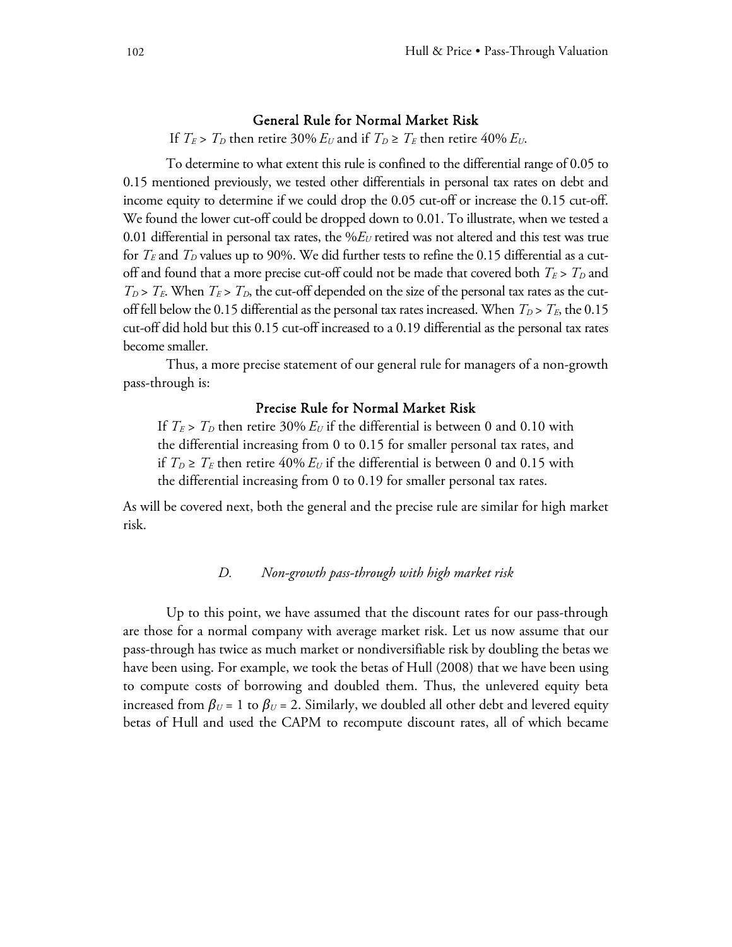#### General Rule for Normal Market Risk

If  $T_E > T_D$  then retire 30%  $E_U$  and if  $T_D \ge T_E$  then retire 40%  $E_U$ .

 To determine to what extent this rule is confined to the differential range of 0.05 to 0.15 mentioned previously, we tested other differentials in personal tax rates on debt and income equity to determine if we could drop the 0.05 cut-off or increase the 0.15 cut-off. We found the lower cut-off could be dropped down to 0.01. To illustrate, when we tested a 0.01 differential in personal tax rates, the %*EU* retired was not altered and this test was true for  $T_E$  and  $T_D$  values up to 90%. We did further tests to refine the 0.15 differential as a cutoff and found that a more precise cut-off could not be made that covered both  $T_E > T_D$  and  $T_D$  >  $T_E$ . When  $T_E$  >  $T_D$ , the cut-off depended on the size of the personal tax rates as the cutoff fell below the 0.15 differential as the personal tax rates increased. When  $T_D > T_E$ , the 0.15 cut-off did hold but this 0.15 cut-off increased to a 0.19 differential as the personal tax rates become smaller.

 Thus, a more precise statement of our general rule for managers of a non-growth pass-through is:

# Precise Rule for Normal Market Risk

If  $T_E > T_D$  then retire 30%  $E_U$  if the differential is between 0 and 0.10 with the differential increasing from 0 to 0.15 for smaller personal tax rates, and if  $T_D \geq T_E$  then retire 40%  $E_U$  if the differential is between 0 and 0.15 with the differential increasing from 0 to 0.19 for smaller personal tax rates.

As will be covered next, both the general and the precise rule are similar for high market risk.

### *D. Non-growth pass-through with high market risk*

 Up to this point, we have assumed that the discount rates for our pass-through are those for a normal company with average market risk. Let us now assume that our pass-through has twice as much market or nondiversifiable risk by doubling the betas we have been using. For example, we took the betas of Hull (2008) that we have been using to compute costs of borrowing and doubled them. Thus, the unlevered equity beta increased from  $\beta_U$  = 1 to  $\beta_U$  = 2. Similarly, we doubled all other debt and levered equity betas of Hull and used the CAPM to recompute discount rates, all of which became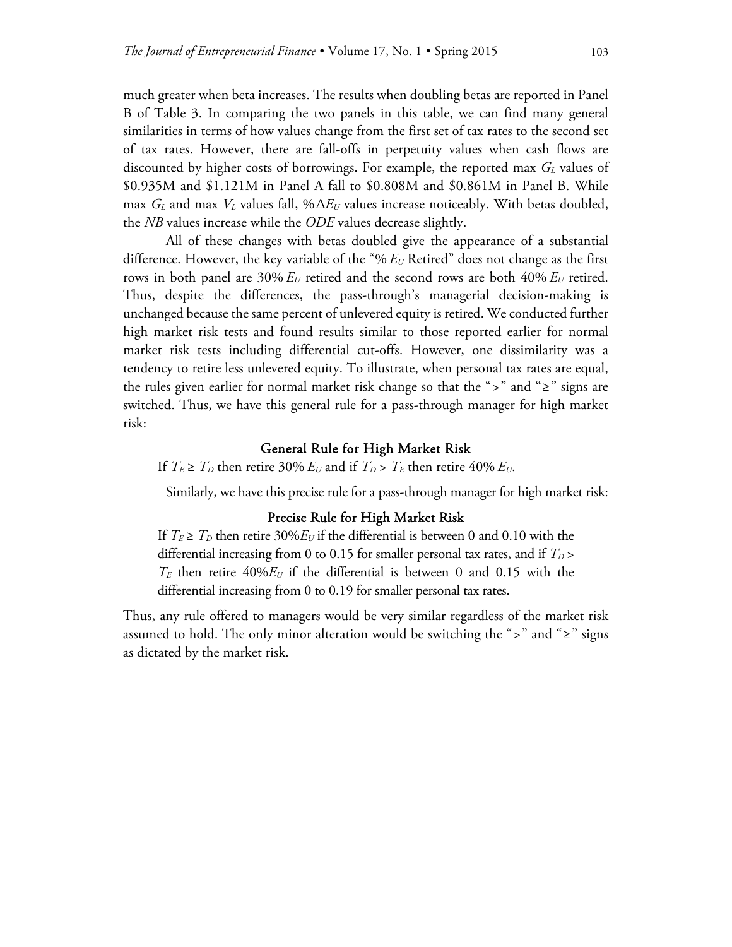much greater when beta increases. The results when doubling betas are reported in Panel B of Table 3. In comparing the two panels in this table, we can find many general similarities in terms of how values change from the first set of tax rates to the second set of tax rates. However, there are fall-offs in perpetuity values when cash flows are discounted by higher costs of borrowings. For example, the reported max  $G_L$  values of \$0.935M and \$1.121M in Panel A fall to \$0.808M and \$0.861M in Panel B. While max  $G_L$  and max  $V_L$  values fall, % $\Delta E_U$  values increase noticeably. With betas doubled, the *NB* values increase while the *ODE* values decrease slightly.

 All of these changes with betas doubled give the appearance of a substantial difference. However, the key variable of the "% *EU* Retired" does not change as the first rows in both panel are  $30\% E_U$  retired and the second rows are both  $40\% E_U$  retired. Thus, despite the differences, the pass-through's managerial decision-making is unchanged because the same percent of unlevered equity is retired. We conducted further high market risk tests and found results similar to those reported earlier for normal market risk tests including differential cut-offs. However, one dissimilarity was a tendency to retire less unlevered equity. To illustrate, when personal tax rates are equal, the rules given earlier for normal market risk change so that the ">" and "≥" signs are switched. Thus, we have this general rule for a pass-through manager for high market risk:

#### General Rule for High Market Risk

If  $T_E \ge T_D$  then retire 30%  $E_U$  and if  $T_D > T_E$  then retire 40%  $E_U$ .

Similarly, we have this precise rule for a pass-through manager for high market risk:

# Precise Rule for High Market Risk

If  $T_E \geq T_D$  then retire 30% $E_U$  if the differential is between 0 and 0.10 with the differential increasing from 0 to 0.15 for smaller personal tax rates, and if  $T_D$  >  $T_E$  then retire  $40\%E_U$  if the differential is between 0 and 0.15 with the differential increasing from 0 to 0.19 for smaller personal tax rates.

Thus, any rule offered to managers would be very similar regardless of the market risk assumed to hold. The only minor alteration would be switching the ">" and "≥" signs as dictated by the market risk.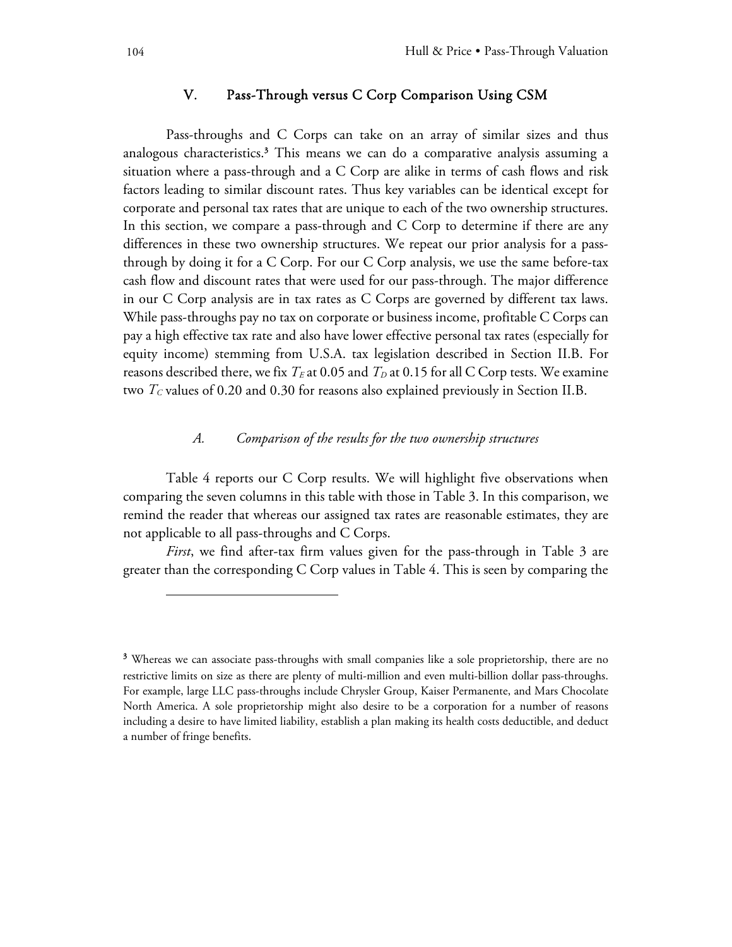# V. Pass-Through versus C Corp Comparison Using CSM

 Pass-throughs and C Corps can take on an array of similar sizes and thus analogous characteristics.3 This means we can do a comparative analysis assuming a situation where a pass-through and a C Corp are alike in terms of cash flows and risk factors leading to similar discount rates. Thus key variables can be identical except for corporate and personal tax rates that are unique to each of the two ownership structures. In this section, we compare a pass-through and C Corp to determine if there are any differences in these two ownership structures. We repeat our prior analysis for a passthrough by doing it for a C Corp. For our C Corp analysis, we use the same before-tax cash flow and discount rates that were used for our pass-through. The major difference in our C Corp analysis are in tax rates as C Corps are governed by different tax laws. While pass-throughs pay no tax on corporate or business income, profitable C Corps can pay a high effective tax rate and also have lower effective personal tax rates (especially for equity income) stemming from U.S.A. tax legislation described in Section II.B. For reasons described there, we fix  $T_E$  at 0.05 and  $T_D$  at 0.15 for all C Corp tests. We examine two  $T_c$  values of 0.20 and 0.30 for reasons also explained previously in Section II.B.

### *A. Comparison of the results for the two ownership structures*

 Table 4 reports our C Corp results. We will highlight five observations when comparing the seven columns in this table with those in Table 3. In this comparison, we remind the reader that whereas our assigned tax rates are reasonable estimates, they are not applicable to all pass-throughs and C Corps.

*First*, we find after-tax firm values given for the pass-through in Table 3 are greater than the corresponding C Corp values in Table 4. This is seen by comparing the

-

<sup>&</sup>lt;sup>3</sup> Whereas we can associate pass-throughs with small companies like a sole proprietorship, there are no restrictive limits on size as there are plenty of multi-million and even multi-billion dollar pass-throughs. For example, large LLC pass-throughs include Chrysler Group, Kaiser Permanente, and Mars Chocolate North America. A sole proprietorship might also desire to be a corporation for a number of reasons including a desire to have limited liability, establish a plan making its health costs deductible, and deduct a number of fringe benefits.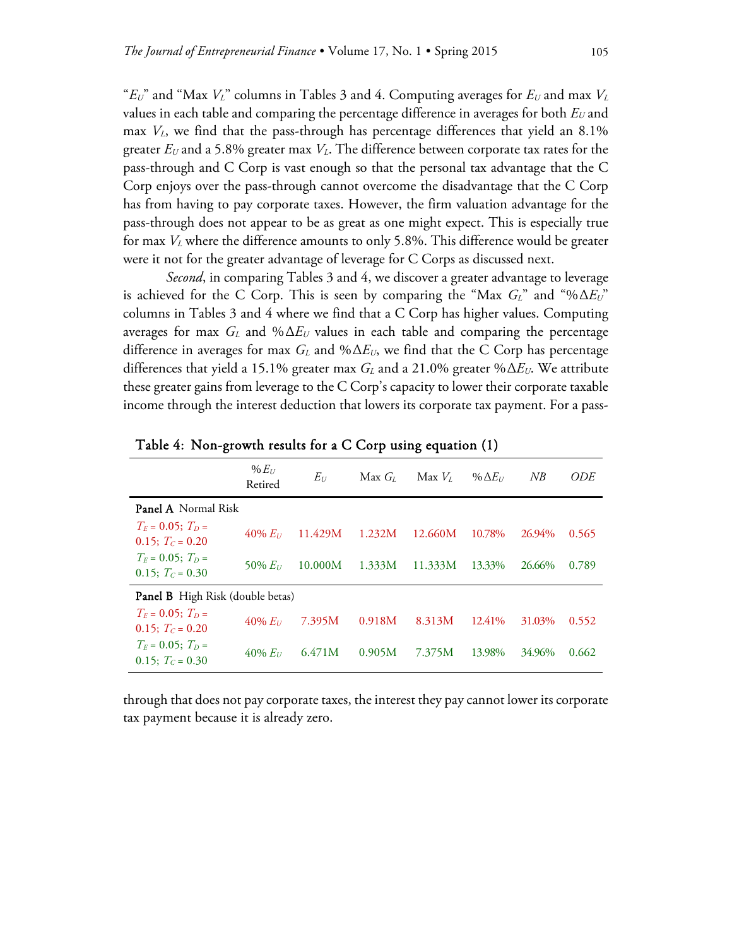" $E_U$ " and "Max  $V_L$ " columns in Tables 3 and 4. Computing averages for  $E_U$  and max  $V_L$ values in each table and comparing the percentage difference in averages for both  $E_U$  and max *VL*, we find that the pass-through has percentage differences that yield an 8.1% greater *EU* and a 5.8% greater max *VL*. The difference between corporate tax rates for the pass-through and C Corp is vast enough so that the personal tax advantage that the C Corp enjoys over the pass-through cannot overcome the disadvantage that the C Corp has from having to pay corporate taxes. However, the firm valuation advantage for the pass-through does not appear to be as great as one might expect. This is especially true for max *VL* where the difference amounts to only 5.8%. This difference would be greater were it not for the greater advantage of leverage for C Corps as discussed next.

*Second*, in comparing Tables 3 and 4, we discover a greater advantage to leverage is achieved for the C Corp. This is seen by comparing the "Max *GL*" and "%Δ*EU*" columns in Tables 3 and 4 where we find that a C Corp has higher values. Computing averages for max  $G_L$  and % $\Delta E_U$  values in each table and comparing the percentage difference in averages for max  $G_L$  and  $\% \Delta E_U$ , we find that the C Corp has percentage differences that yield a 15.1% greater max  $G_L$  and a 21.0% greater % $\Delta E_U$ . We attribute these greater gains from leverage to the C Corp's capacity to lower their corporate taxable income through the interest deduction that lowers its corporate tax payment. For a pass-

|                                              | $%E_{11}$<br>Retired | $E_U$   | Max G <sub>i</sub> | Max V <sub>t</sub> | % $\Delta E_U$ | NB     | <i>ODE</i> |  |  |
|----------------------------------------------|----------------------|---------|--------------------|--------------------|----------------|--------|------------|--|--|
| <b>Panel A</b> Normal Risk                   |                      |         |                    |                    |                |        |            |  |  |
| $T_F = 0.05$ ; $T_D =$<br>0.15; $T_c = 0.20$ | $40\% E_{U}$         | 11.429M | 1.232M             | 12.660M            | 10.78%         | 26.94% | 0.565      |  |  |
| $T_F = 0.05$ ; $T_D =$<br>0.15; $T_c = 0.30$ | 50% $E_{U}$          | 10.000M | 1.333M             | 11.333M            | 13.33%         | 26.66% | 0.789      |  |  |
| <b>Panel B</b> High Risk (double betas)      |                      |         |                    |                    |                |        |            |  |  |
| $T_F = 0.05$ ; $T_D =$<br>0.15; $T_c = 0.20$ | $40\% E_{U}$         | 7.395M  | 0.918M             | 8.313M             | 12.41%         | 31.03% | 0.552      |  |  |
| $T_F = 0.05$ ; $T_D =$<br>0.15; $T_c = 0.30$ | $40\% E_{U}$         | 6.471M  | 0.905M             | 7.375M             | 13.98%         | 34.96% | 0.662      |  |  |

Table 4: Non-growth results for a C Corp using equation (1)

through that does not pay corporate taxes, the interest they pay cannot lower its corporate tax payment because it is already zero.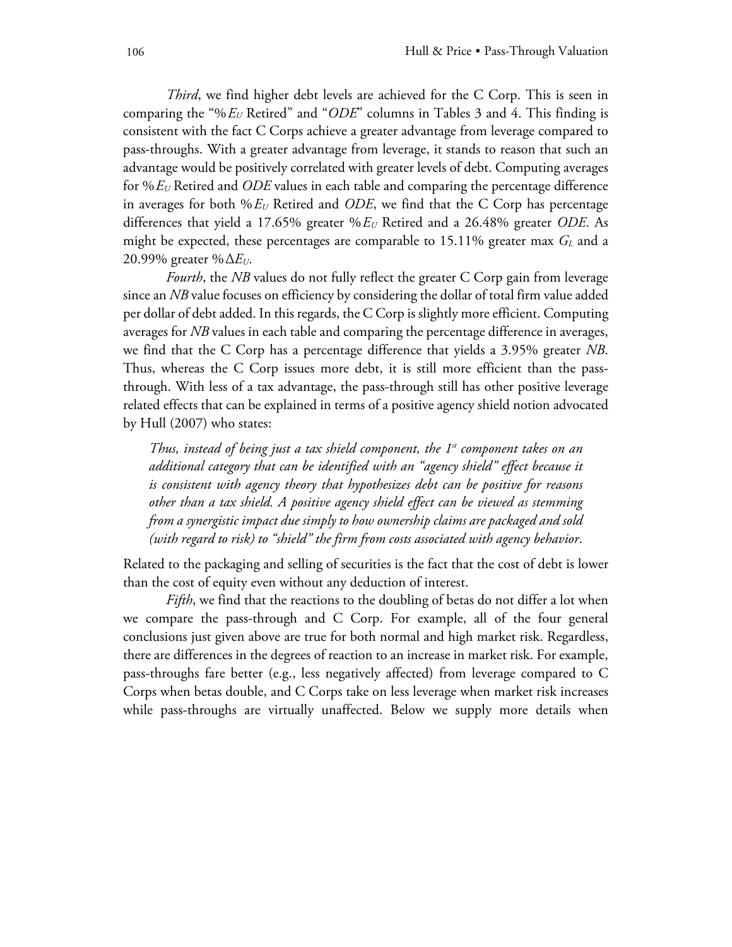*Third*, we find higher debt levels are achieved for the C Corp. This is seen in comparing the "%*EU* Retired" and "*ODE*" columns in Tables 3 and 4. This finding is consistent with the fact C Corps achieve a greater advantage from leverage compared to pass-throughs. With a greater advantage from leverage, it stands to reason that such an advantage would be positively correlated with greater levels of debt. Computing averages for %*EU* Retired and *ODE* values in each table and comparing the percentage difference in averages for both  $\%E_U$  Retired and *ODE*, we find that the C Corp has percentage differences that yield a 17.65% greater %*EU* Retired and a 26.48% greater *ODE*. As might be expected, these percentages are comparable to 15.11% greater max *G*<sub>L</sub> and a 20.99% greater %Δ*EU*.

*Fourth*, the *NB* values do not fully reflect the greater C Corp gain from leverage since an *NB* value focuses on efficiency by considering the dollar of total firm value added per dollar of debt added. In this regards, the C Corp is slightly more efficient. Computing averages for *NB* values in each table and comparing the percentage difference in averages, we find that the C Corp has a percentage difference that yields a 3.95% greater *NB*. Thus, whereas the C Corp issues more debt, it is still more efficient than the passthrough. With less of a tax advantage, the pass-through still has other positive leverage related effects that can be explained in terms of a positive agency shield notion advocated by Hull (2007) who states:

*Thus, instead of being just a tax shield component, the 1<sup>st</sup> component takes on an additional category that can be identified with an "agency shield" effect because it is consistent with agency theory that hypothesizes debt can be positive for reasons other than a tax shield. A positive agency shield effect can be viewed as stemming from a synergistic impact due simply to how ownership claims are packaged and sold (with regard to risk) to "shield" the firm from costs associated with agency behavior*.

Related to the packaging and selling of securities is the fact that the cost of debt is lower than the cost of equity even without any deduction of interest.

*Fifth*, we find that the reactions to the doubling of betas do not differ a lot when we compare the pass-through and C Corp. For example, all of the four general conclusions just given above are true for both normal and high market risk. Regardless, there are differences in the degrees of reaction to an increase in market risk. For example, pass-throughs fare better (e.g., less negatively affected) from leverage compared to C Corps when betas double, and C Corps take on less leverage when market risk increases while pass-throughs are virtually unaffected. Below we supply more details when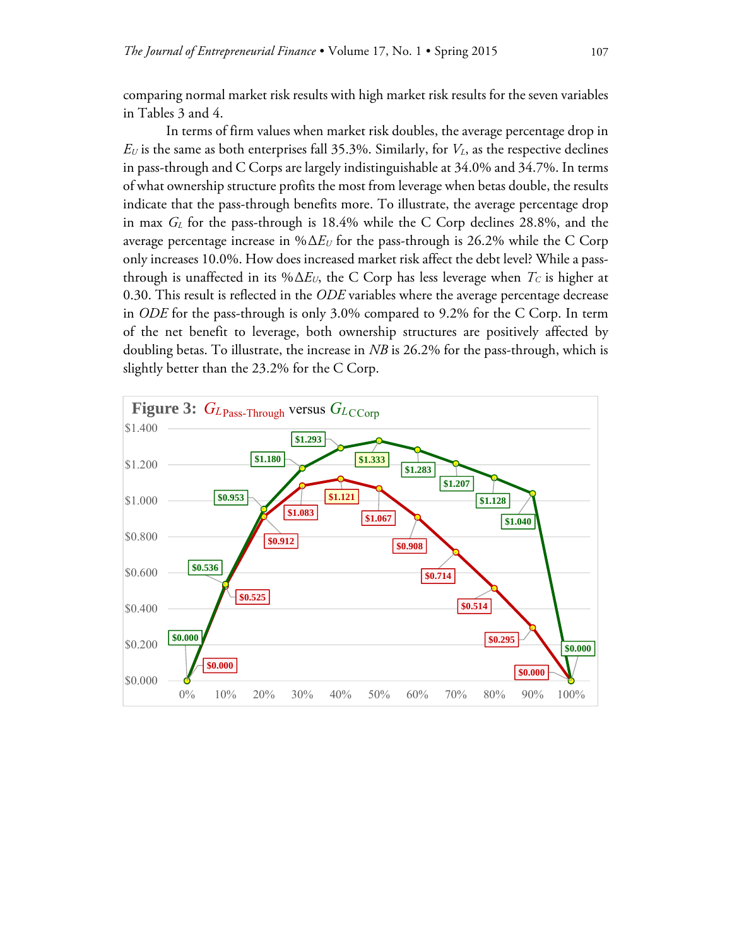comparing normal market risk results with high market risk results for the seven variables in Tables 3 and 4.

 In terms of firm values when market risk doubles, the average percentage drop in  $E_U$  is the same as both enterprises fall 35.3%. Similarly, for  $V_L$ , as the respective declines in pass-through and C Corps are largely indistinguishable at 34.0% and 34.7%. In terms of what ownership structure profits the most from leverage when betas double, the results indicate that the pass-through benefits more. To illustrate, the average percentage drop in max *GL* for the pass-through is 18.4% while the C Corp declines 28.8%, and the average percentage increase in %Δ*EU* for the pass-through is 26.2% while the C Corp only increases 10.0%. How does increased market risk affect the debt level? While a passthrough is unaffected in its % $\Delta E_U$ , the C Corp has less leverage when  $T_C$  is higher at 0.30. This result is reflected in the *ODE* variables where the average percentage decrease in *ODE* for the pass-through is only 3.0% compared to 9.2% for the C Corp. In term of the net benefit to leverage, both ownership structures are positively affected by doubling betas. To illustrate, the increase in *NB* is 26.2% for the pass-through, which is slightly better than the 23.2% for the C Corp.

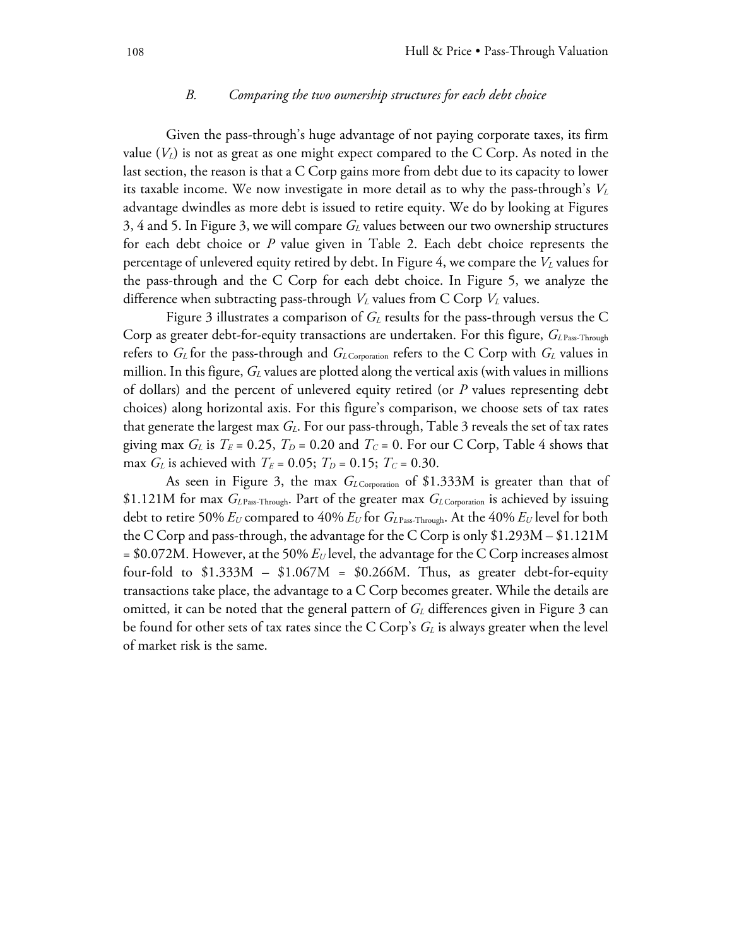#### *B. Comparing the two ownership structures for each debt choice*

 Given the pass-through's huge advantage of not paying corporate taxes, its firm value  $(V_L)$  is not as great as one might expect compared to the C Corp. As noted in the last section, the reason is that a C Corp gains more from debt due to its capacity to lower its taxable income. We now investigate in more detail as to why the pass-through's *VL* advantage dwindles as more debt is issued to retire equity. We do by looking at Figures 3, 4 and 5. In Figure 3, we will compare *GL* values between our two ownership structures for each debt choice or *P* value given in Table 2. Each debt choice represents the percentage of unlevered equity retired by debt. In Figure 4, we compare the *VL* values for the pass-through and the C Corp for each debt choice. In Figure 5, we analyze the difference when subtracting pass-through  $V_L$  values from C Corp  $V_L$  values.

Figure 3 illustrates a comparison of  $G<sub>L</sub>$  results for the pass-through versus the C Corp as greater debt-for-equity transactions are undertaken. For this figure,  $G_{\text{LPass-Throught}}$ refers to *G<sub>L</sub>* for the pass-through and *G<sub>LCorporation* refers to the C Corp with *G<sub>L</sub>* values in</sub> million. In this figure,  $G_L$  values are plotted along the vertical axis (with values in millions of dollars) and the percent of unlevered equity retired (or *P* values representing debt choices) along horizontal axis. For this figure's comparison, we choose sets of tax rates that generate the largest max *GL*. For our pass-through, Table 3 reveals the set of tax rates giving max  $G_L$  is  $T_E = 0.25$ ,  $T_D = 0.20$  and  $T_C = 0$ . For our C Corp, Table 4 shows that max *G<sub>L</sub>* is achieved with  $T_E = 0.05$ ;  $T_D = 0.15$ ;  $T_C = 0.30$ .

As seen in Figure 3, the max *G<sub>LCorporation</sub>* of \$1.333M is greater than that of \$1.121M for max *GL* Pass-Through. Part of the greater max *GL* Corporation is achieved by issuing debt to retire 50% *EU* compared to 40% *EU* for *GL* Pass-Through. At the 40% *EU* level for both the C Corp and pass-through, the advantage for the C Corp is only \$1.293M – \$1.121M  $= $0.072M$ . However, at the 50%  $E_U$  level, the advantage for the C Corp increases almost four-fold to  $$1.333M - $1.067M = $0.266M$ . Thus, as greater debt-for-equity transactions take place, the advantage to a C Corp becomes greater. While the details are omitted, it can be noted that the general pattern of  $G_L$  differences given in Figure 3 can be found for other sets of tax rates since the C Corp's  $G_L$  is always greater when the level of market risk is the same.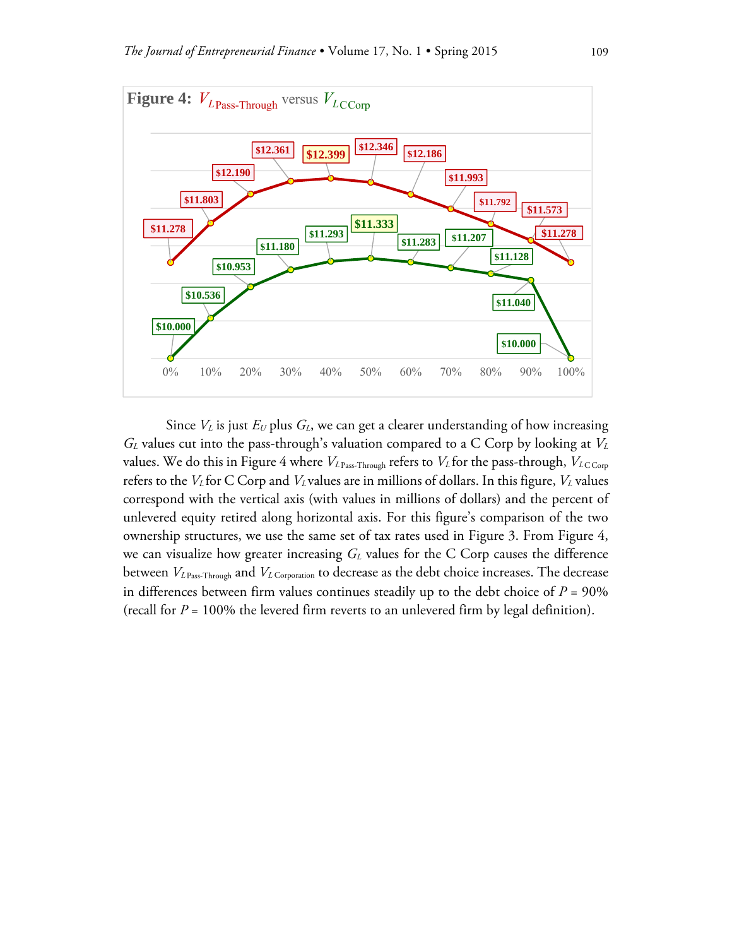

Since  $V_L$  is just  $E_U$  plus  $G_L$ , we can get a clearer understanding of how increasing *GL* values cut into the pass-through's valuation compared to a C Corp by looking at *VL* values. We do this in Figure 4 where  $V_{L\text{ Pass-Through}}$  refers to  $V_L$  for the pass-through,  $V_{L\text{CCorp}}$ refers to the *V<sub>L</sub>* for C Corp and *V<sub>L</sub>* values are in millions of dollars. In this figure, *V<sub>L</sub>* values correspond with the vertical axis (with values in millions of dollars) and the percent of unlevered equity retired along horizontal axis. For this figure's comparison of the two ownership structures, we use the same set of tax rates used in Figure 3. From Figure 4, we can visualize how greater increasing  $G_L$  values for the C Corp causes the difference between  $V_{L\text{ Pass-Through}}$  and  $V_{L\text{ Corporation}}$  to decrease as the debt choice increases. The decrease in differences between firm values continues steadily up to the debt choice of  $P = 90\%$ (recall for *P* = 100% the levered firm reverts to an unlevered firm by legal definition).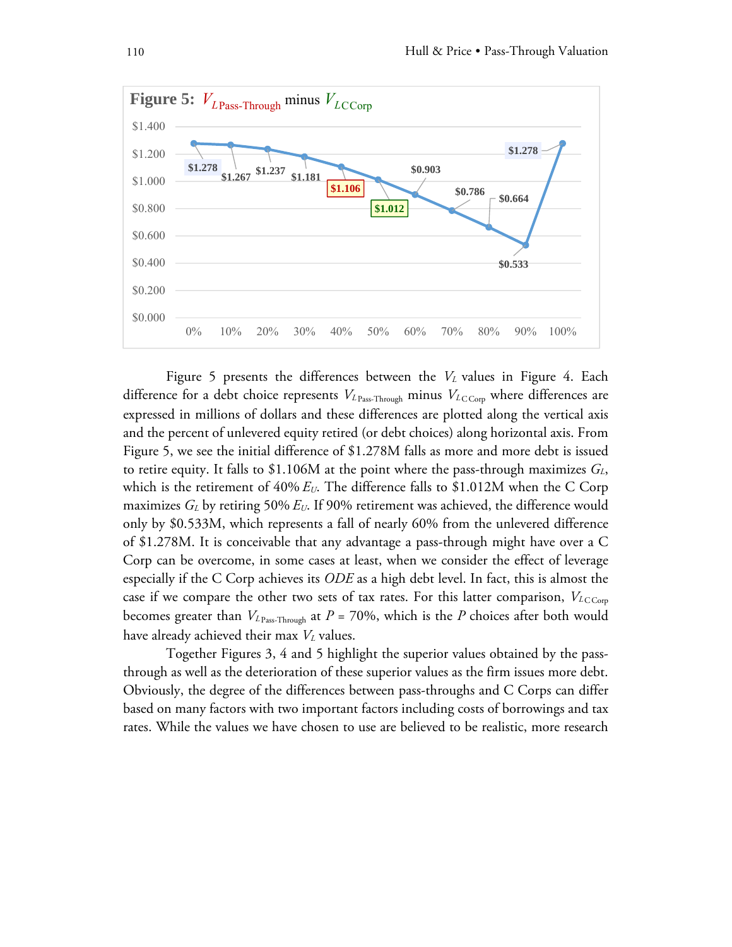

Figure 5 presents the differences between the  $V<sub>L</sub>$  values in Figure 4. Each difference for a debt choice represents  $V_{L_{\text{Pass-Through}}}$  minus  $V_{L_{\text{CCorp}}}$  where differences are expressed in millions of dollars and these differences are plotted along the vertical axis and the percent of unlevered equity retired (or debt choices) along horizontal axis. From Figure 5, we see the initial difference of \$1.278M falls as more and more debt is issued to retire equity. It falls to \$1.106M at the point where the pass-through maximizes  $G_L$ , which is the retirement of  $40\% E_U$ . The difference falls to \$1.012M when the C Corp maximizes *GL* by retiring 50% *EU*. If 90% retirement was achieved, the difference would only by \$0.533M, which represents a fall of nearly 60% from the unlevered difference of \$1.278M. It is conceivable that any advantage a pass-through might have over a C Corp can be overcome, in some cases at least, when we consider the effect of leverage especially if the C Corp achieves its *ODE* as a high debt level. In fact, this is almost the case if we compare the other two sets of tax rates. For this latter comparison,  $V_{LCCorp}$ becomes greater than  $V_{L_{\text{Pass-Throught}}}$  at  $P = 70\%$ , which is the *P* choices after both would have already achieved their max *V*<sub>L</sub> values.

 Together Figures 3, 4 and 5 highlight the superior values obtained by the passthrough as well as the deterioration of these superior values as the firm issues more debt. Obviously, the degree of the differences between pass-throughs and C Corps can differ based on many factors with two important factors including costs of borrowings and tax rates. While the values we have chosen to use are believed to be realistic, more research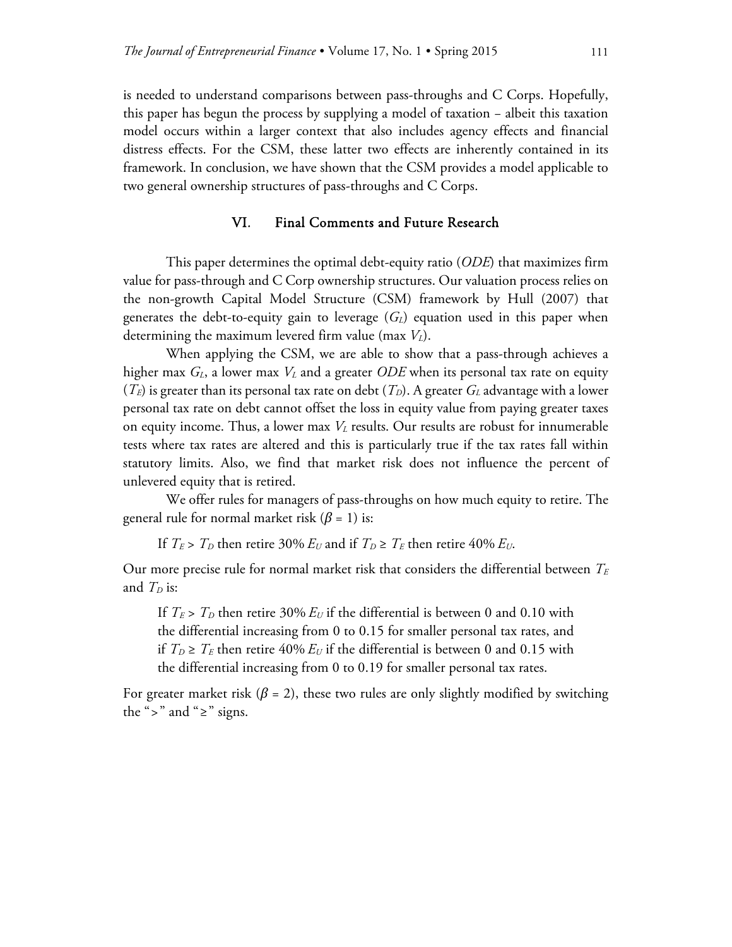is needed to understand comparisons between pass-throughs and C Corps. Hopefully, this paper has begun the process by supplying a model of taxation − albeit this taxation model occurs within a larger context that also includes agency effects and financial distress effects. For the CSM, these latter two effects are inherently contained in its framework. In conclusion, we have shown that the CSM provides a model applicable to two general ownership structures of pass-throughs and C Corps.

#### VI. Final Comments and Future Research

 This paper determines the optimal debt-equity ratio (*ODE*) that maximizes firm value for pass-through and C Corp ownership structures. Our valuation process relies on the non-growth Capital Model Structure (CSM) framework by Hull (2007) that generates the debt-to-equity gain to leverage  $(G_L)$  equation used in this paper when determining the maximum levered firm value (max *V<sub>L</sub>*).

 When applying the CSM, we are able to show that a pass-through achieves a higher max  $G_L$ , a lower max  $V_L$  and a greater *ODE* when its personal tax rate on equity  $(T_E)$  is greater than its personal tax rate on debt  $(T_D)$ . A greater  $G_L$  advantage with a lower personal tax rate on debt cannot offset the loss in equity value from paying greater taxes on equity income. Thus, a lower max  $V<sub>L</sub>$  results. Our results are robust for innumerable tests where tax rates are altered and this is particularly true if the tax rates fall within statutory limits. Also, we find that market risk does not influence the percent of unlevered equity that is retired.

 We offer rules for managers of pass-throughs on how much equity to retire. The general rule for normal market risk  $(\beta = 1)$  is:

If  $T_E > T_D$  then retire 30%  $E_U$  and if  $T_D \ge T_E$  then retire 40%  $E_U$ .

Our more precise rule for normal market risk that considers the differential between  $T_E$ and  $T_D$  is:

If  $T_E > T_D$  then retire 30%  $E_U$  if the differential is between 0 and 0.10 with the differential increasing from 0 to 0.15 for smaller personal tax rates, and if  $T_D \geq T_E$  then retire 40%  $E_U$  if the differential is between 0 and 0.15 with the differential increasing from 0 to 0.19 for smaller personal tax rates.

For greater market risk ( $\beta$  = 2), these two rules are only slightly modified by switching the ">" and " $\geq$ " signs.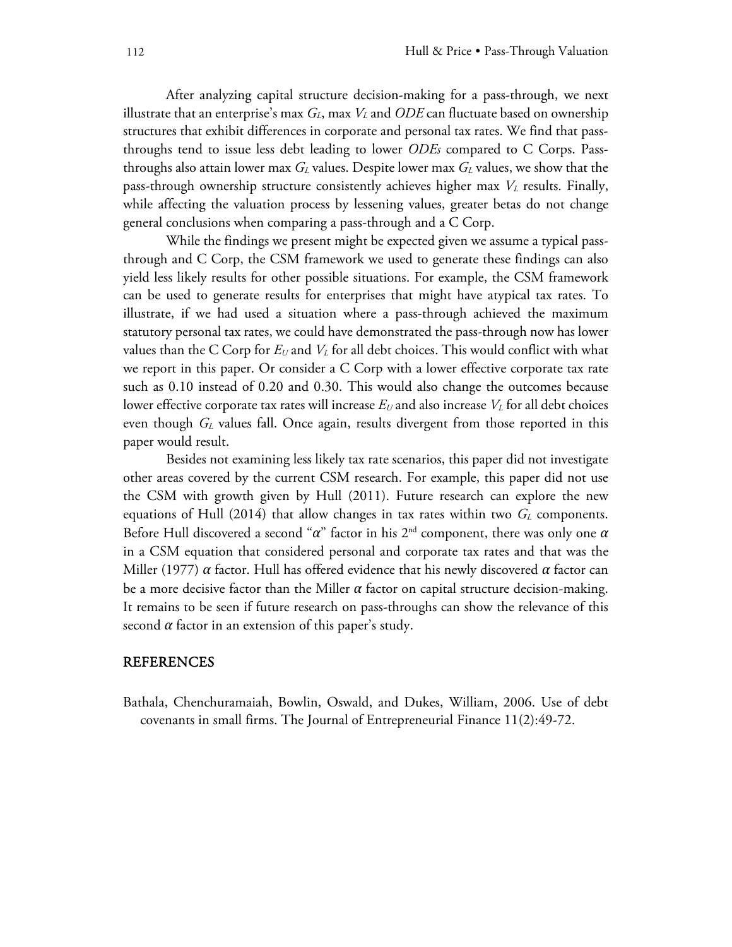After analyzing capital structure decision-making for a pass-through, we next illustrate that an enterprise's max  $G_L$ , max  $V_L$  and  $ODE$  can fluctuate based on ownership structures that exhibit differences in corporate and personal tax rates. We find that passthroughs tend to issue less debt leading to lower *ODEs* compared to C Corps. Passthroughs also attain lower max *GL* values. Despite lower max *GL* values, we show that the pass-through ownership structure consistently achieves higher max *V<sub>L</sub>* results. Finally, while affecting the valuation process by lessening values, greater betas do not change general conclusions when comparing a pass-through and a C Corp.

 While the findings we present might be expected given we assume a typical passthrough and C Corp, the CSM framework we used to generate these findings can also yield less likely results for other possible situations. For example, the CSM framework can be used to generate results for enterprises that might have atypical tax rates. To illustrate, if we had used a situation where a pass-through achieved the maximum statutory personal tax rates, we could have demonstrated the pass-through now has lower values than the C Corp for  $E_U$  and  $V_L$  for all debt choices. This would conflict with what we report in this paper. Or consider a C Corp with a lower effective corporate tax rate such as 0.10 instead of 0.20 and 0.30. This would also change the outcomes because lower effective corporate tax rates will increase  $E_U$  and also increase  $V_L$  for all debt choices even though *GL* values fall. Once again, results divergent from those reported in this paper would result.

 Besides not examining less likely tax rate scenarios, this paper did not investigate other areas covered by the current CSM research. For example, this paper did not use the CSM with growth given by Hull (2011). Future research can explore the new equations of Hull  $(2014)$  that allow changes in tax rates within two  $G_L$  components. Before Hull discovered a second "*α*" factor in his 2nd component, there was only one *α* in a CSM equation that considered personal and corporate tax rates and that was the Miller (1977) *α* factor. Hull has offered evidence that his newly discovered *α* factor can be a more decisive factor than the Miller *α* factor on capital structure decision-making. It remains to be seen if future research on pass-throughs can show the relevance of this second  $\alpha$  factor in an extension of this paper's study.

#### REFERENCES

Bathala, Chenchuramaiah, Bowlin, Oswald, and Dukes, William, 2006. Use of debt covenants in small firms. The Journal of Entrepreneurial Finance 11(2):49-72.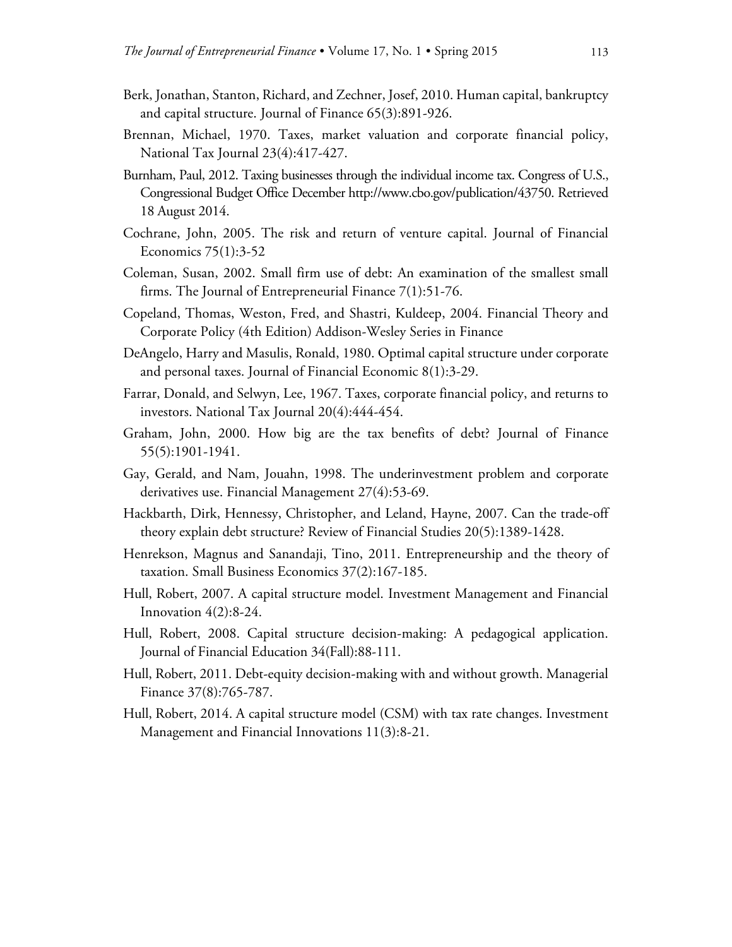- Berk, Jonathan, Stanton, Richard, and Zechner, Josef, 2010. Human capital, bankruptcy and capital structure. Journal of Finance 65(3):891-926.
- Brennan, Michael, 1970. Taxes, market valuation and corporate financial policy, National Tax Journal 23(4):417-427.
- Burnham, Paul, 2012. Taxing businesses through the individual income tax. Congress of U.S., Congressional Budget Office December http://www.cbo.gov/publication/43750. Retrieved 18 August 2014.
- Cochrane, John, 2005. The risk and return of venture capital. Journal of Financial Economics 75(1):3-52
- Coleman, Susan, 2002. Small firm use of debt: An examination of the smallest small firms. The Journal of Entrepreneurial Finance 7(1):51-76.
- Copeland, Thomas, Weston, Fred, and Shastri, Kuldeep, 2004. Financial Theory and Corporate Policy (4th Edition) Addison-Wesley Series in Finance
- DeAngelo, Harry and Masulis, Ronald, 1980. Optimal capital structure under corporate and personal taxes. Journal of Financial Economic 8(1):3-29.
- Farrar, Donald, and Selwyn, Lee, 1967. Taxes, corporate financial policy, and returns to investors. National Tax Journal 20(4):444-454.
- Graham, John, 2000. How big are the tax benefits of debt? Journal of Finance 55(5):1901-1941.
- Gay, Gerald, and Nam, Jouahn, 1998. The underinvestment problem and corporate derivatives use. Financial Management 27(4):53-69.
- Hackbarth, Dirk, Hennessy, Christopher, and Leland, Hayne, 2007. Can the trade-off theory explain debt structure? Review of Financial Studies 20(5):1389-1428.
- Henrekson, Magnus and Sanandaji, Tino, 2011. Entrepreneurship and the theory of taxation. Small Business Economics 37(2):167-185.
- Hull, Robert, 2007. A capital structure model. Investment Management and Financial Innovation  $4(2):8-24$ .
- Hull, Robert, 2008. Capital structure decision-making: A pedagogical application. Journal of Financial Education 34(Fall):88-111.
- Hull, Robert, 2011. Debt-equity decision-making with and without growth. Managerial Finance 37(8):765-787.
- Hull, Robert, 2014. A capital structure model (CSM) with tax rate changes. Investment Management and Financial Innovations 11(3):8-21.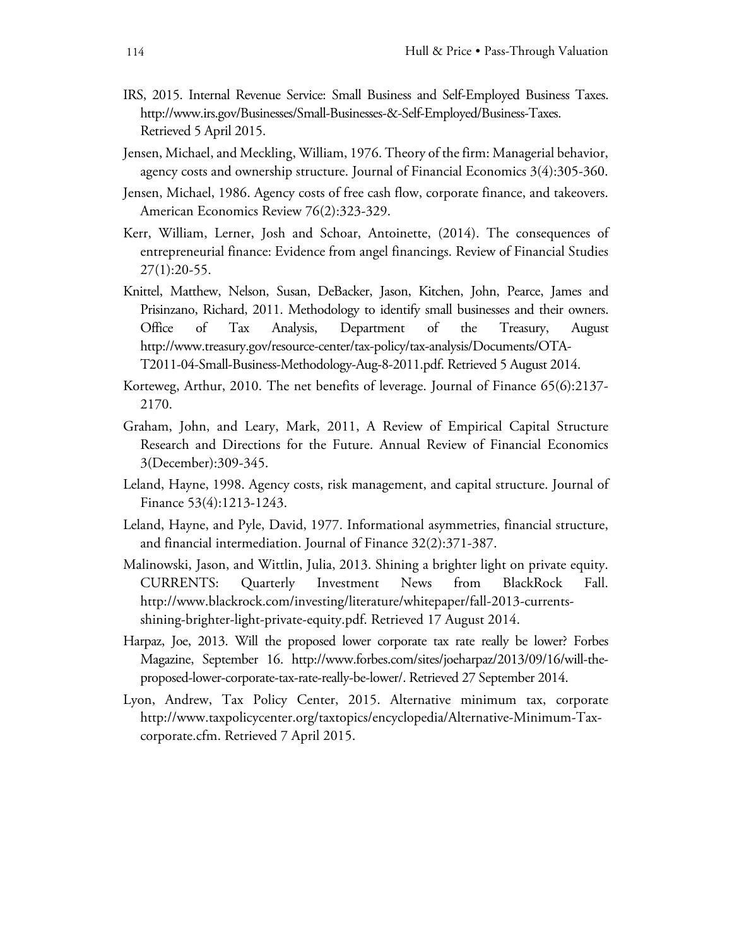- IRS, 2015. Internal Revenue Service: Small Business and Self-Employed Business Taxes. http://www.irs.gov/Businesses/Small-Businesses-&-Self-Employed/Business-Taxes. Retrieved 5 April 2015.
- Jensen, Michael, and Meckling, William, 1976. Theory of the firm: Managerial behavior, agency costs and ownership structure. Journal of Financial Economics 3(4):305-360.
- Jensen, Michael, 1986. Agency costs of free cash flow, corporate finance, and takeovers. American Economics Review 76(2):323-329.
- Kerr, William, Lerner, Josh and Schoar, Antoinette, (2014). The consequences of entrepreneurial finance: Evidence from angel financings. Review of Financial Studies 27(1):20-55.
- Knittel, Matthew, Nelson, Susan, DeBacker, Jason, Kitchen, John, Pearce, James and Prisinzano, Richard, 2011. Methodology to identify small businesses and their owners. Office of Tax Analysis, Department of the Treasury, August http://www.treasury.gov/resource-center/tax-policy/tax-analysis/Documents/OTA-T2011-04-Small-Business-Methodology-Aug-8-2011.pdf. Retrieved 5 August 2014.
- Korteweg, Arthur, 2010. The net benefits of leverage. Journal of Finance 65(6):2137- 2170.
- Graham, John, and Leary, Mark, 2011, A Review of Empirical Capital Structure Research and Directions for the Future. Annual Review of Financial Economics 3(December):309-345.
- Leland, Hayne, 1998. Agency costs, risk management, and capital structure. Journal of Finance 53(4):1213-1243.
- Leland, Hayne, and Pyle, David, 1977. Informational asymmetries, financial structure, and financial intermediation. Journal of Finance 32(2):371-387.
- Malinowski, Jason, and Wittlin, Julia, 2013. Shining a brighter light on private equity. CURRENTS: Quarterly Investment News from BlackRock Fall. http://www.blackrock.com/investing/literature/whitepaper/fall-2013-currentsshining-brighter-light-private-equity.pdf. Retrieved 17 August 2014.
- Harpaz, Joe, 2013. Will the proposed lower corporate tax rate really be lower? Forbes Magazine, September 16. http://www.forbes.com/sites/joeharpaz/2013/09/16/will-theproposed-lower-corporate-tax-rate-really-be-lower/. Retrieved 27 September 2014.
- Lyon, Andrew, Tax Policy Center, 2015. Alternative minimum tax, corporate http://www.taxpolicycenter.org/taxtopics/encyclopedia/Alternative-Minimum-Taxcorporate.cfm. Retrieved 7 April 2015.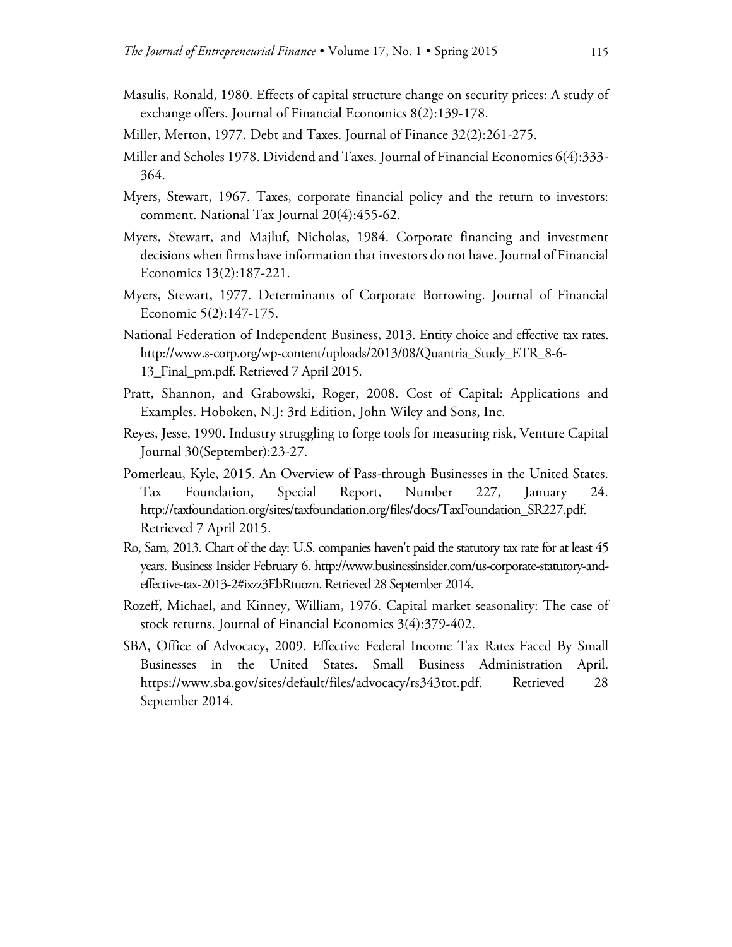- Masulis, Ronald, 1980. Effects of capital structure change on security prices: A study of exchange offers. Journal of Financial Economics 8(2):139-178.
- Miller, Merton, 1977. Debt and Taxes. Journal of Finance 32(2):261-275.
- Miller and Scholes 1978. Dividend and Taxes. Journal of Financial Economics 6(4):333- 364.
- Myers, Stewart, 1967. Taxes, corporate financial policy and the return to investors: comment. National Tax Journal 20(4):455-62.
- Myers, Stewart, and Majluf, Nicholas, 1984. Corporate financing and investment decisions when firms have information that investors do not have. Journal of Financial Economics 13(2):187-221.
- Myers, Stewart, 1977. Determinants of Corporate Borrowing. Journal of Financial Economic 5(2):147-175.
- National Federation of Independent Business, 2013. Entity choice and effective tax rates. http://www.s-corp.org/wp-content/uploads/2013/08/Quantria\_Study\_ETR\_8-6- 13\_Final\_pm.pdf. Retrieved 7 April 2015.
- Pratt, Shannon, and Grabowski, Roger, 2008. Cost of Capital: Applications and Examples. Hoboken, N.J: 3rd Edition, John Wiley and Sons, Inc.
- Reyes, Jesse, 1990. Industry struggling to forge tools for measuring risk, Venture Capital Journal 30(September):23-27.
- Pomerleau, Kyle, 2015. An Overview of Pass-through Businesses in the United States. Tax Foundation, Special Report, Number 227, January 24. http://taxfoundation.org/sites/taxfoundation.org/files/docs/TaxFoundation\_SR227.pdf. Retrieved 7 April 2015.
- Ro, Sam, 2013. Chart of the day: U.S. companies haven't paid the statutory tax rate for at least 45 years. Business Insider February 6. http://www.businessinsider.com/us-corporate-statutory-andeffective-tax-2013-2#ixzz3EbRtuozn. Retrieved 28 September 2014.
- Rozeff, Michael, and Kinney, William, 1976. Capital market seasonality: The case of stock returns. Journal of Financial Economics 3(4):379-402.
- SBA, Office of Advocacy, 2009. Effective Federal Income Tax Rates Faced By Small Businesses in the United States. Small Business Administration April. https://www.sba.gov/sites/default/files/advocacy/rs343tot.pdf. Retrieved 28 September 2014.